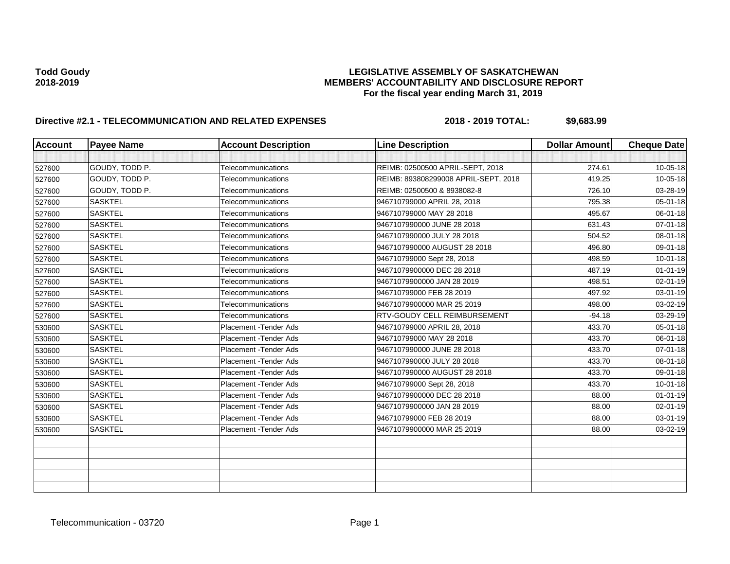| <b>Account</b> | <b>Payee Name</b> | <b>Account Description</b> | <b>Line Description</b>              | <b>Dollar Amount</b> | <b>Cheque Date</b> |
|----------------|-------------------|----------------------------|--------------------------------------|----------------------|--------------------|
|                |                   |                            |                                      |                      |                    |
| 527600         | GOUDY, TODD P.    | Telecommunications         | REIMB: 02500500 APRIL-SEPT, 2018     | 274.61               | 10-05-18           |
| 527600         | GOUDY, TODD P.    | Telecommunications         | REIMB: 893808299008 APRIL-SEPT, 2018 | 419.25               | 10-05-18           |
| 527600         | GOUDY, TODD P.    | Telecommunications         | REIMB: 02500500 & 8938082-8          | 726.10               | 03-28-19           |
| 527600         | <b>SASKTEL</b>    | Telecommunications         | 946710799000 APRIL 28, 2018          | 795.38               | 05-01-18           |
| 527600         | <b>SASKTEL</b>    | Telecommunications         | 946710799000 MAY 28 2018             | 495.67               | 06-01-18           |
| 527600         | <b>SASKTEL</b>    | Telecommunications         | 9467107990000 JUNE 28 2018           | 631.43               | $07 - 01 - 18$     |
| 527600         | <b>SASKTEL</b>    | Telecommunications         | 9467107990000 JULY 28 2018           | 504.52               | 08-01-18           |
| 527600         | <b>SASKTEL</b>    | Telecommunications         | 9467107990000 AUGUST 28 2018         | 496.80               | 09-01-18           |
| 527600         | <b>SASKTEL</b>    | Telecommunications         | 946710799000 Sept 28, 2018           | 498.59               | $10 - 01 - 18$     |
| 527600         | <b>SASKTEL</b>    | <b>Telecommunications</b>  | 94671079900000 DEC 28 2018           | 487.19               | $01 - 01 - 19$     |
| 527600         | <b>SASKTEL</b>    | Telecommunications         | 94671079900000 JAN 28 2019           | 498.51               | 02-01-19           |
| 527600         | <b>SASKTEL</b>    | Telecommunications         | 946710799000 FEB 28 2019             | 497.92               | 03-01-19           |
| 527600         | <b>SASKTEL</b>    | Telecommunications         | 94671079900000 MAR 25 2019           | 498.00               | 03-02-19           |
| 527600         | <b>SASKTEL</b>    | Telecommunications         | RTV-GOUDY CELL REIMBURSEMENT         | $-94.18$             | 03-29-19           |
| 530600         | <b>SASKTEL</b>    | Placement - Tender Ads     | 946710799000 APRIL 28, 2018          | 433.70               | 05-01-18           |
| 530600         | <b>SASKTEL</b>    | Placement - Tender Ads     | 946710799000 MAY 28 2018             | 433.70               | 06-01-18           |
| 530600         | <b>SASKTEL</b>    | Placement - Tender Ads     | 9467107990000 JUNE 28 2018           | 433.70               | 07-01-18           |
| 530600         | <b>SASKTEL</b>    | Placement - Tender Ads     | 9467107990000 JULY 28 2018           | 433.70               | 08-01-18           |
| 530600         | <b>SASKTEL</b>    | Placement - Tender Ads     | 9467107990000 AUGUST 28 2018         | 433.70               | 09-01-18           |
| 530600         | <b>SASKTEL</b>    | Placement - Tender Ads     | 946710799000 Sept 28, 2018           | 433.70               | $10 - 01 - 18$     |
| 530600         | <b>SASKTEL</b>    | Placement - Tender Ads     | 94671079900000 DEC 28 2018           | 88.00                | $01 - 01 - 19$     |
| 530600         | <b>SASKTEL</b>    | Placement - Tender Ads     | 94671079900000 JAN 28 2019           | 88.00                | 02-01-19           |
| 530600         | <b>SASKTEL</b>    | Placement - Tender Ads     | 946710799000 FEB 28 2019             | 88.00                | 03-01-19           |
| 530600         | <b>SASKTEL</b>    | Placement - Tender Ads     | 94671079900000 MAR 25 2019           | 88.00                | 03-02-19           |
|                |                   |                            |                                      |                      |                    |
|                |                   |                            |                                      |                      |                    |
|                |                   |                            |                                      |                      |                    |
|                |                   |                            |                                      |                      |                    |
|                |                   |                            |                                      |                      |                    |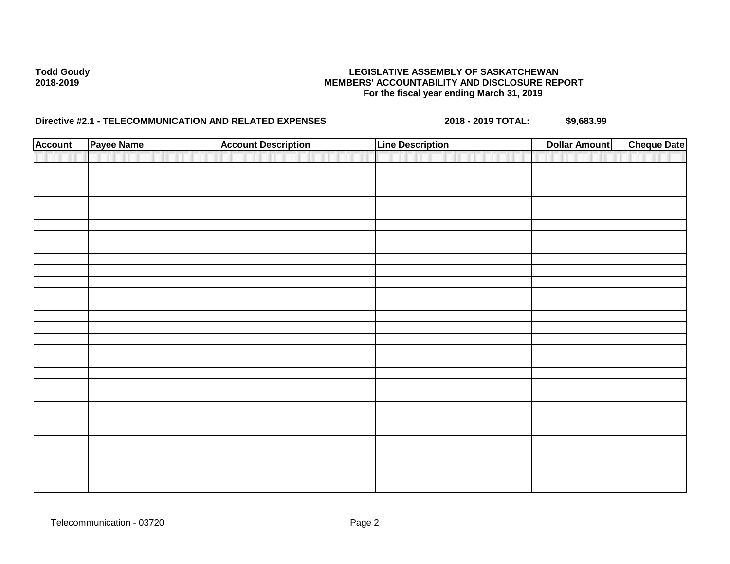| <b>Account</b> | Payee Name | <b>Account Description</b> | <b>Line Description</b> | <b>Dollar Amount</b> | <b>Cheque Date</b> |
|----------------|------------|----------------------------|-------------------------|----------------------|--------------------|
|                |            |                            |                         |                      |                    |
|                |            |                            |                         |                      |                    |
|                |            |                            |                         |                      |                    |
|                |            |                            |                         |                      |                    |
|                |            |                            |                         |                      |                    |
|                |            |                            |                         |                      |                    |
|                |            |                            |                         |                      |                    |
|                |            |                            |                         |                      |                    |
|                |            |                            |                         |                      |                    |
|                |            |                            |                         |                      |                    |
|                |            |                            |                         |                      |                    |
|                |            |                            |                         |                      |                    |
|                |            |                            |                         |                      |                    |
|                |            |                            |                         |                      |                    |
|                |            |                            |                         |                      |                    |
|                |            |                            |                         |                      |                    |
|                |            |                            |                         |                      |                    |
|                |            |                            |                         |                      |                    |
|                |            |                            |                         |                      |                    |
|                |            |                            |                         |                      |                    |
|                |            |                            |                         |                      |                    |
|                |            |                            |                         |                      |                    |
|                |            |                            |                         |                      |                    |
|                |            |                            |                         |                      |                    |
|                |            |                            |                         |                      |                    |
|                |            |                            |                         |                      |                    |
|                |            |                            |                         |                      |                    |
|                |            |                            |                         |                      |                    |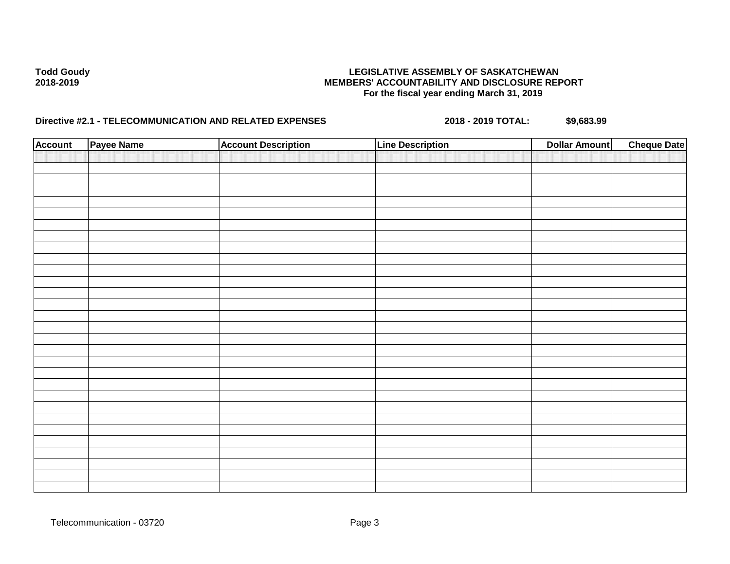| <b>Account</b> | Payee Name | <b>Account Description</b> | <b>Line Description</b> | <b>Dollar Amount</b> | <b>Cheque Date</b> |
|----------------|------------|----------------------------|-------------------------|----------------------|--------------------|
|                |            |                            |                         |                      |                    |
|                |            |                            |                         |                      |                    |
|                |            |                            |                         |                      |                    |
|                |            |                            |                         |                      |                    |
|                |            |                            |                         |                      |                    |
|                |            |                            |                         |                      |                    |
|                |            |                            |                         |                      |                    |
|                |            |                            |                         |                      |                    |
|                |            |                            |                         |                      |                    |
|                |            |                            |                         |                      |                    |
|                |            |                            |                         |                      |                    |
|                |            |                            |                         |                      |                    |
|                |            |                            |                         |                      |                    |
|                |            |                            |                         |                      |                    |
|                |            |                            |                         |                      |                    |
|                |            |                            |                         |                      |                    |
|                |            |                            |                         |                      |                    |
|                |            |                            |                         |                      |                    |
|                |            |                            |                         |                      |                    |
|                |            |                            |                         |                      |                    |
|                |            |                            |                         |                      |                    |
|                |            |                            |                         |                      |                    |
|                |            |                            |                         |                      |                    |
|                |            |                            |                         |                      |                    |
|                |            |                            |                         |                      |                    |
|                |            |                            |                         |                      |                    |
|                |            |                            |                         |                      |                    |
|                |            |                            |                         |                      |                    |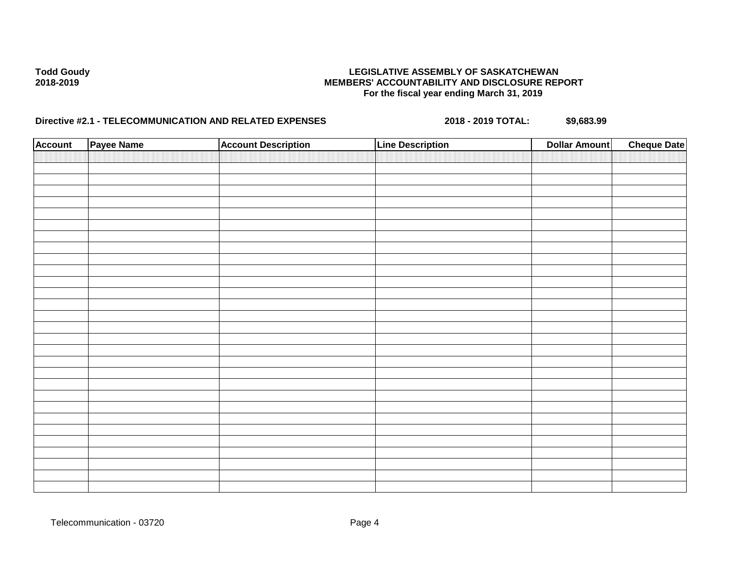| <b>Account</b> | Payee Name | <b>Account Description</b> | <b>Line Description</b> | <b>Dollar Amount</b> | <b>Cheque Date</b> |
|----------------|------------|----------------------------|-------------------------|----------------------|--------------------|
|                |            |                            |                         |                      |                    |
|                |            |                            |                         |                      |                    |
|                |            |                            |                         |                      |                    |
|                |            |                            |                         |                      |                    |
|                |            |                            |                         |                      |                    |
|                |            |                            |                         |                      |                    |
|                |            |                            |                         |                      |                    |
|                |            |                            |                         |                      |                    |
|                |            |                            |                         |                      |                    |
|                |            |                            |                         |                      |                    |
|                |            |                            |                         |                      |                    |
|                |            |                            |                         |                      |                    |
|                |            |                            |                         |                      |                    |
|                |            |                            |                         |                      |                    |
|                |            |                            |                         |                      |                    |
|                |            |                            |                         |                      |                    |
|                |            |                            |                         |                      |                    |
|                |            |                            |                         |                      |                    |
|                |            |                            |                         |                      |                    |
|                |            |                            |                         |                      |                    |
|                |            |                            |                         |                      |                    |
|                |            |                            |                         |                      |                    |
|                |            |                            |                         |                      |                    |
|                |            |                            |                         |                      |                    |
|                |            |                            |                         |                      |                    |
|                |            |                            |                         |                      |                    |
|                |            |                            |                         |                      |                    |
|                |            |                            |                         |                      |                    |
|                |            |                            |                         |                      |                    |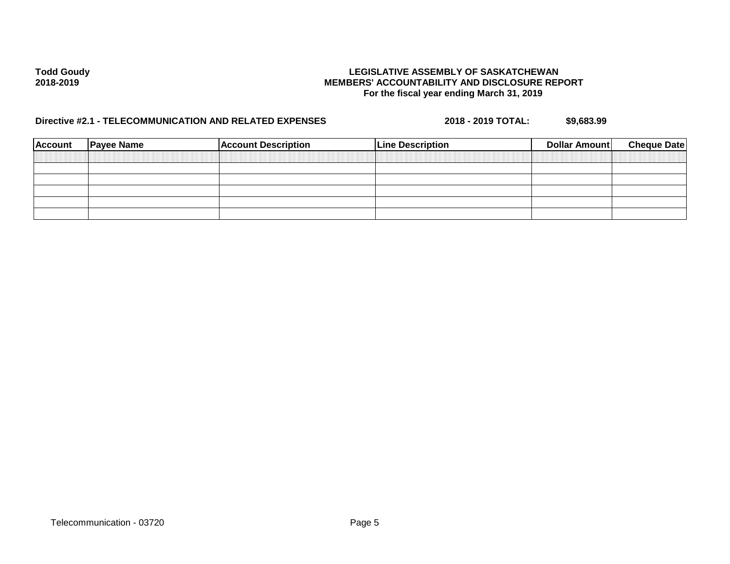| <b>Account</b> | <b>Payee Name</b> | <b>Account Description</b> | <b>Line Description</b> | Dollar Amount | <b>Cheque Date</b> |
|----------------|-------------------|----------------------------|-------------------------|---------------|--------------------|
|                |                   |                            |                         |               |                    |
|                |                   |                            |                         |               |                    |
|                |                   |                            |                         |               |                    |
|                |                   |                            |                         |               |                    |
|                |                   |                            |                         |               |                    |
|                |                   |                            |                         |               |                    |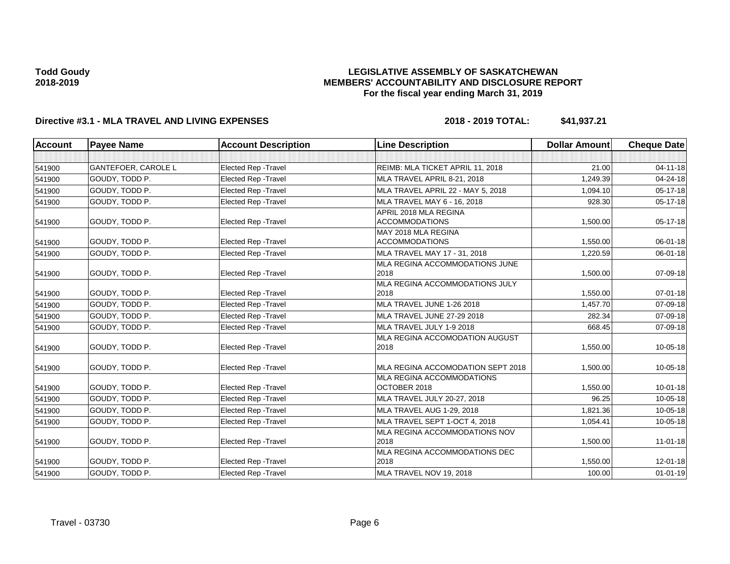### **LEGISLATIVE ASSEMBLY OF SASKATCHEWAN MEMBERS' ACCOUNTABILITY AND DISCLOSURE REPORT For the fiscal year ending March 31, 2019**

| <b>Account</b> | <b>Payee Name</b>          | <b>Account Description</b>  | <b>Line Description</b>                          | <b>Dollar Amount</b> | <b>Cheque Date</b> |
|----------------|----------------------------|-----------------------------|--------------------------------------------------|----------------------|--------------------|
|                |                            |                             |                                                  |                      |                    |
| 541900         | <b>GANTEFOER, CAROLE L</b> | Elected Rep - Travel        | REIMB: MLA TICKET APRIL 11, 2018                 | 21.00                | $04 - 11 - 18$     |
| 541900         | GOUDY, TODD P.             | Elected Rep - Travel        | MLA TRAVEL APRIL 8-21, 2018                      | 1,249.39             | 04-24-18           |
| 541900         | GOUDY, TODD P.             | Elected Rep - Travel        | MLA TRAVEL APRIL 22 - MAY 5, 2018                | 1,094.10             | 05-17-18           |
| 541900         | GOUDY, TODD P.             | Elected Rep - Travel        | MLA TRAVEL MAY 6 - 16, 2018                      | 928.30               | 05-17-18           |
| 541900         | GOUDY, TODD P.             | <b>Elected Rep - Travel</b> | APRIL 2018 MLA REGINA<br><b>ACCOMMODATIONS</b>   | 1,500.00             | $05-17-18$         |
| 541900         | GOUDY, TODD P.             | Elected Rep - Travel        | MAY 2018 MLA REGINA<br><b>ACCOMMODATIONS</b>     | 1,550.00             | 06-01-18           |
| 541900         | GOUDY, TODD P.             | Elected Rep - Travel        | MLA TRAVEL MAY 17 - 31, 2018                     | 1,220.59             | 06-01-18           |
| 541900         | GOUDY, TODD P.             | <b>Elected Rep - Travel</b> | MLA REGINA ACCOMMODATIONS JUNE<br>2018           | 1,500.00             | 07-09-18           |
| 541900         | GOUDY, TODD P.             | Elected Rep - Travel        | MLA REGINA ACCOMMODATIONS JULY<br>2018           | 1,550.00             | $07 - 01 - 18$     |
| 541900         | GOUDY, TODD P.             | Elected Rep - Travel        | MLA TRAVEL JUNE 1-26 2018                        | 1.457.70             | 07-09-18           |
| 541900         | GOUDY. TODD P.             | Elected Rep - Travel        | MLA TRAVEL JUNE 27-29 2018                       | 282.34               | 07-09-18           |
| 541900         | GOUDY, TODD P.             | Elected Rep - Travel        | MLA TRAVEL JULY 1-9 2018                         | 668.45               | 07-09-18           |
| 541900         | GOUDY, TODD P.             | Elected Rep - Travel        | MLA REGINA ACCOMODATION AUGUST<br>2018           | 1,550.00             | 10-05-18           |
| 541900         | GOUDY, TODD P.             | Elected Rep - Travel        | MLA REGINA ACCOMODATION SEPT 2018                | 1,500.00             | 10-05-18           |
| 541900         | GOUDY, TODD P.             | Elected Rep - Travel        | <b>MLA REGINA ACCOMMODATIONS</b><br>OCTOBER 2018 | 1,550.00             | $10 - 01 - 18$     |
| 541900         | GOUDY, TODD P.             | Elected Rep - Travel        | MLA TRAVEL JULY 20-27, 2018                      | 96.25                | 10-05-18           |
| 541900         | GOUDY, TODD P.             | <b>Elected Rep - Travel</b> | MLA TRAVEL AUG 1-29, 2018                        | 1,821.36             | 10-05-18           |
| 541900         | GOUDY, TODD P.             | <b>Elected Rep - Travel</b> | MLA TRAVEL SEPT 1-OCT 4, 2018                    | 1,054.41             | 10-05-18           |
| 541900         | GOUDY, TODD P.             | Elected Rep - Travel        | MLA REGINA ACCOMMODATIONS NOV<br>2018            | 1,500.00             | $11-01-18$         |
| 541900         | GOUDY, TODD P.             | Elected Rep - Travel        | MLA REGINA ACCOMMODATIONS DEC<br>2018            | 1,550.00             | $12 - 01 - 18$     |
| 541900         | GOUDY. TODD P.             | Elected Rep - Travel        | MLA TRAVEL NOV 19, 2018                          | 100.00               | $01 - 01 - 19$     |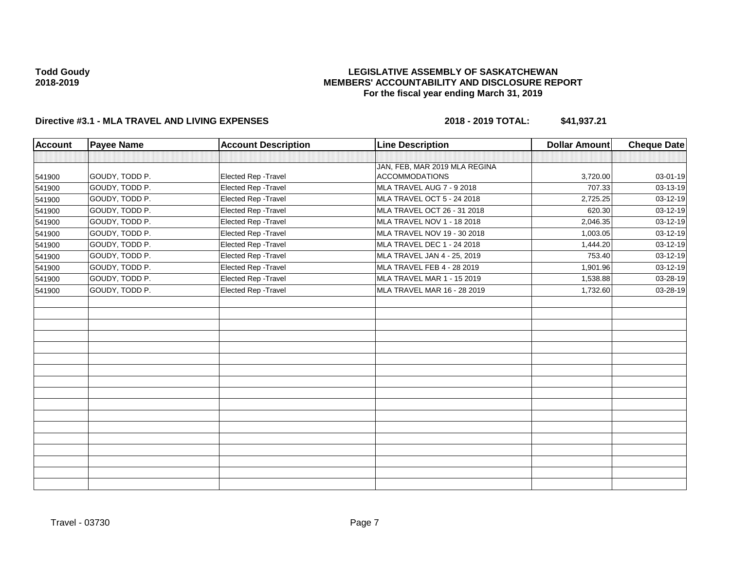### **LEGISLATIVE ASSEMBLY OF SASKATCHEWAN MEMBERS' ACCOUNTABILITY AND DISCLOSURE REPORT For the fiscal year ending March 31, 2019**

| <b>Account</b> | <b>Payee Name</b> | <b>Account Description</b> | <b>Line Description</b>       | <b>Dollar Amount</b> | Cheque Date |
|----------------|-------------------|----------------------------|-------------------------------|----------------------|-------------|
|                |                   |                            |                               |                      |             |
|                |                   |                            | JAN, FEB, MAR 2019 MLA REGINA |                      |             |
| 541900         | GOUDY, TODD P.    | Elected Rep - Travel       | <b>ACCOMMODATIONS</b>         | 3,720.00             | 03-01-19    |
| 541900         | GOUDY, TODD P.    | Elected Rep - Travel       | MLA TRAVEL AUG 7 - 9 2018     | 707.33               | 03-13-19    |
| 541900         | GOUDY, TODD P.    | Elected Rep - Travel       | MLA TRAVEL OCT 5 - 24 2018    | 2,725.25             | 03-12-19    |
| 541900         | GOUDY, TODD P.    | Elected Rep - Travel       | MLA TRAVEL OCT 26 - 31 2018   | 620.30               | 03-12-19    |
| 541900         | GOUDY, TODD P.    | Elected Rep - Travel       | MLA TRAVEL NOV 1 - 18 2018    | 2,046.35             | 03-12-19    |
| 541900         | GOUDY, TODD P.    | Elected Rep - Travel       | MLA TRAVEL NOV 19 - 30 2018   | 1,003.05             | 03-12-19    |
| 541900         | GOUDY, TODD P.    | Elected Rep - Travel       | MLA TRAVEL DEC 1 - 24 2018    | 1,444.20             | 03-12-19    |
| 541900         | GOUDY, TODD P.    | Elected Rep - Travel       | MLA TRAVEL JAN 4 - 25, 2019   | 753.40               | 03-12-19    |
| 541900         | GOUDY, TODD P.    | Elected Rep - Travel       | MLA TRAVEL FEB 4 - 28 2019    | 1,901.96             | 03-12-19    |
| 541900         | GOUDY, TODD P.    | Elected Rep - Travel       | MLA TRAVEL MAR 1 - 15 2019    | 1,538.88             | 03-28-19    |
| 541900         | GOUDY, TODD P.    | Elected Rep - Travel       | MLA TRAVEL MAR 16 - 28 2019   | 1,732.60             | 03-28-19    |
|                |                   |                            |                               |                      |             |
|                |                   |                            |                               |                      |             |
|                |                   |                            |                               |                      |             |
|                |                   |                            |                               |                      |             |
|                |                   |                            |                               |                      |             |
|                |                   |                            |                               |                      |             |
|                |                   |                            |                               |                      |             |
|                |                   |                            |                               |                      |             |
|                |                   |                            |                               |                      |             |
|                |                   |                            |                               |                      |             |
|                |                   |                            |                               |                      |             |
|                |                   |                            |                               |                      |             |
|                |                   |                            |                               |                      |             |
|                |                   |                            |                               |                      |             |
|                |                   |                            |                               |                      |             |
|                |                   |                            |                               |                      |             |
|                |                   |                            |                               |                      |             |
|                |                   |                            |                               |                      |             |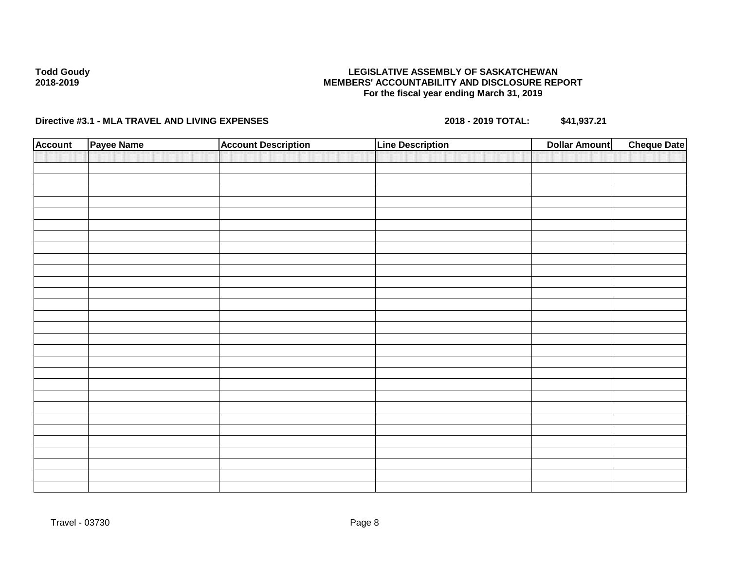### **LEGISLATIVE ASSEMBLY OF SASKATCHEWAN MEMBERS' ACCOUNTABILITY AND DISCLOSURE REPORT For the fiscal year ending March 31, 2019**

| <b>Account</b> | Payee Name | <b>Account Description</b> | <b>Line Description</b> | <b>Dollar Amount</b> | <b>Cheque Date</b> |
|----------------|------------|----------------------------|-------------------------|----------------------|--------------------|
|                |            |                            |                         |                      |                    |
|                |            |                            |                         |                      |                    |
|                |            |                            |                         |                      |                    |
|                |            |                            |                         |                      |                    |
|                |            |                            |                         |                      |                    |
|                |            |                            |                         |                      |                    |
|                |            |                            |                         |                      |                    |
|                |            |                            |                         |                      |                    |
|                |            |                            |                         |                      |                    |
|                |            |                            |                         |                      |                    |
|                |            |                            |                         |                      |                    |
|                |            |                            |                         |                      |                    |
|                |            |                            |                         |                      |                    |
|                |            |                            |                         |                      |                    |
|                |            |                            |                         |                      |                    |
|                |            |                            |                         |                      |                    |
|                |            |                            |                         |                      |                    |
|                |            |                            |                         |                      |                    |
|                |            |                            |                         |                      |                    |
|                |            |                            |                         |                      |                    |
|                |            |                            |                         |                      |                    |
|                |            |                            |                         |                      |                    |
|                |            |                            |                         |                      |                    |
|                |            |                            |                         |                      |                    |
|                |            |                            |                         |                      |                    |
|                |            |                            |                         |                      |                    |
|                |            |                            |                         |                      |                    |
|                |            |                            |                         |                      |                    |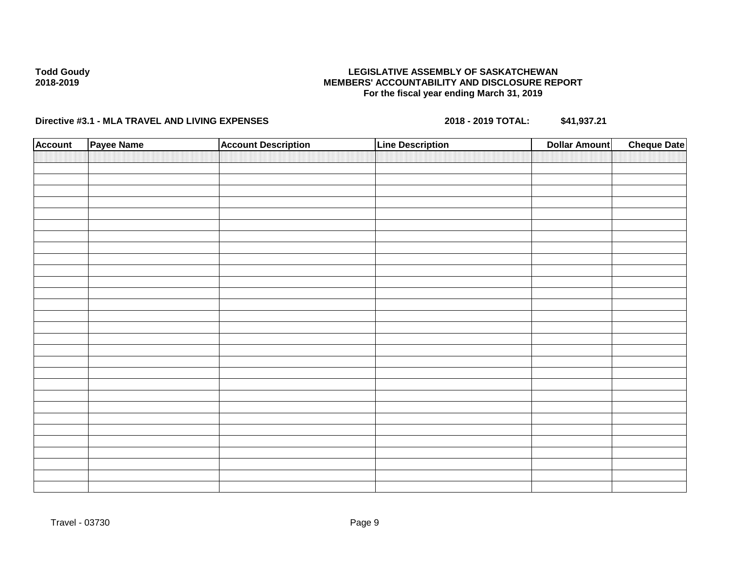### **LEGISLATIVE ASSEMBLY OF SASKATCHEWAN MEMBERS' ACCOUNTABILITY AND DISCLOSURE REPORT For the fiscal year ending March 31, 2019**

| <b>Account</b> | Payee Name | <b>Account Description</b> | <b>Line Description</b> | <b>Dollar Amount</b> | <b>Cheque Date</b> |
|----------------|------------|----------------------------|-------------------------|----------------------|--------------------|
|                |            |                            |                         |                      |                    |
|                |            |                            |                         |                      |                    |
|                |            |                            |                         |                      |                    |
|                |            |                            |                         |                      |                    |
|                |            |                            |                         |                      |                    |
|                |            |                            |                         |                      |                    |
|                |            |                            |                         |                      |                    |
|                |            |                            |                         |                      |                    |
|                |            |                            |                         |                      |                    |
|                |            |                            |                         |                      |                    |
|                |            |                            |                         |                      |                    |
|                |            |                            |                         |                      |                    |
|                |            |                            |                         |                      |                    |
|                |            |                            |                         |                      |                    |
|                |            |                            |                         |                      |                    |
|                |            |                            |                         |                      |                    |
|                |            |                            |                         |                      |                    |
|                |            |                            |                         |                      |                    |
|                |            |                            |                         |                      |                    |
|                |            |                            |                         |                      |                    |
|                |            |                            |                         |                      |                    |
|                |            |                            |                         |                      |                    |
|                |            |                            |                         |                      |                    |
|                |            |                            |                         |                      |                    |
|                |            |                            |                         |                      |                    |
|                |            |                            |                         |                      |                    |
|                |            |                            |                         |                      |                    |
|                |            |                            |                         |                      |                    |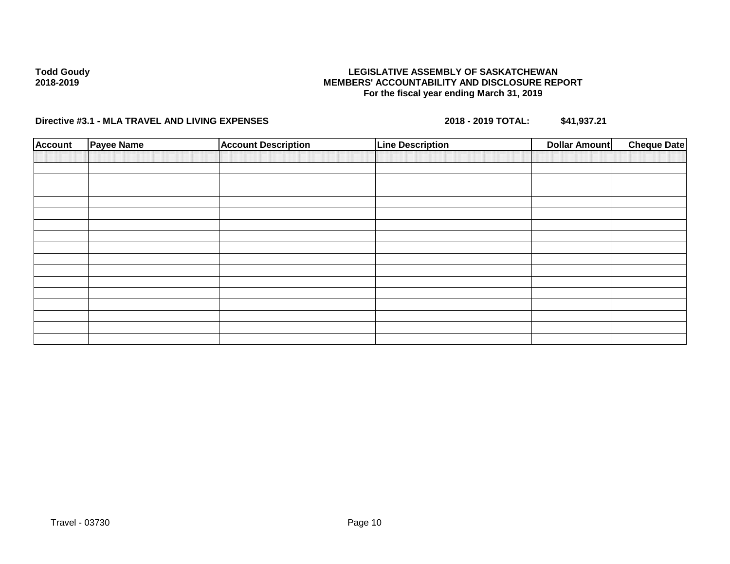### **LEGISLATIVE ASSEMBLY OF SASKATCHEWAN MEMBERS' ACCOUNTABILITY AND DISCLOSURE REPORT For the fiscal year ending March 31, 2019**

| <b>Account</b> | <b>Payee Name</b> | <b>Account Description</b> | <b>Line Description</b> | <b>Dollar Amount</b> | <b>Cheque Date</b> |
|----------------|-------------------|----------------------------|-------------------------|----------------------|--------------------|
|                |                   |                            |                         |                      |                    |
|                |                   |                            |                         |                      |                    |
|                |                   |                            |                         |                      |                    |
|                |                   |                            |                         |                      |                    |
|                |                   |                            |                         |                      |                    |
|                |                   |                            |                         |                      |                    |
|                |                   |                            |                         |                      |                    |
|                |                   |                            |                         |                      |                    |
|                |                   |                            |                         |                      |                    |
|                |                   |                            |                         |                      |                    |
|                |                   |                            |                         |                      |                    |
|                |                   |                            |                         |                      |                    |
|                |                   |                            |                         |                      |                    |
|                |                   |                            |                         |                      |                    |
|                |                   |                            |                         |                      |                    |
|                |                   |                            |                         |                      |                    |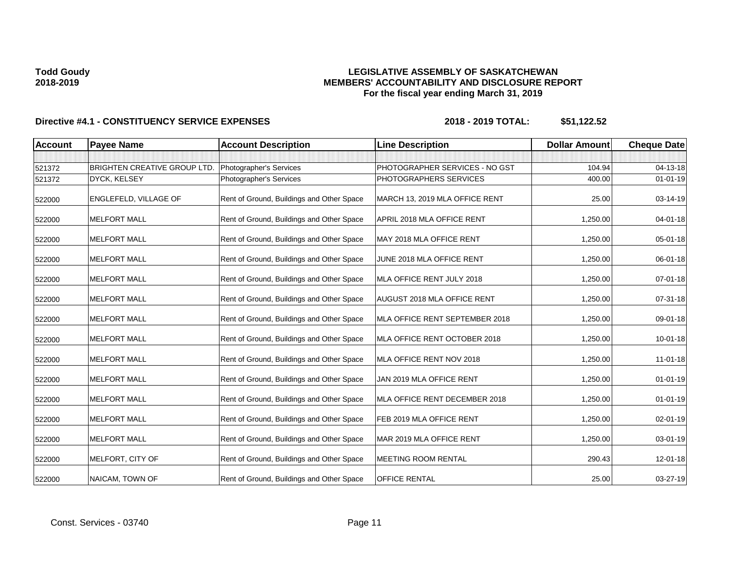### **LEGISLATIVE ASSEMBLY OF SASKATCHEWAN MEMBERS' ACCOUNTABILITY AND DISCLOSURE REPORT For the fiscal year ending March 31, 2019**

| <b>Account</b> | <b>Payee Name</b>            | <b>Account Description</b>                | <b>Line Description</b>            | <b>Dollar Amount</b> | <b>Cheque Date</b> |
|----------------|------------------------------|-------------------------------------------|------------------------------------|----------------------|--------------------|
|                |                              |                                           |                                    |                      |                    |
| 521372         | BRIGHTEN CREATIVE GROUP LTD. | Photographer's Services                   | PHOTOGRAPHER SERVICES - NO GST     | 104.94               | 04-13-18           |
| 521372         | DYCK, KELSEY                 | Photographer's Services                   | PHOTOGRAPHERS SERVICES             | 400.00               | $01 - 01 - 19$     |
| 522000         | ENGLEFELD, VILLAGE OF        | Rent of Ground, Buildings and Other Space | MARCH 13, 2019 MLA OFFICE RENT     | 25.00                | 03-14-19           |
| 522000         | <b>MELFORT MALL</b>          | Rent of Ground, Buildings and Other Space | APRIL 2018 MLA OFFICE RENT         | 1,250.00             | 04-01-18           |
| 522000         | <b>MELFORT MALL</b>          | Rent of Ground, Buildings and Other Space | MAY 2018 MLA OFFICE RENT           | 1,250.00             | 05-01-18           |
| 522000         | <b>MELFORT MALL</b>          | Rent of Ground, Buildings and Other Space | JUNE 2018 MLA OFFICE RENT          | 1,250.00             | 06-01-18           |
| 522000         | <b>MELFORT MALL</b>          | Rent of Ground, Buildings and Other Space | MLA OFFICE RENT JULY 2018          | 1,250.00             | 07-01-18           |
| 522000         | <b>MELFORT MALL</b>          | Rent of Ground, Buildings and Other Space | <b>AUGUST 2018 MLA OFFICE RENT</b> | 1,250.00             | 07-31-18           |
| 522000         | <b>MELFORT MALL</b>          | Rent of Ground, Buildings and Other Space | MLA OFFICE RENT SEPTEMBER 2018     | 1,250.00             | 09-01-18           |
| 522000         | <b>MELFORT MALL</b>          | Rent of Ground, Buildings and Other Space | MLA OFFICE RENT OCTOBER 2018       | 1,250.00             | 10-01-18           |
| 522000         | <b>MELFORT MALL</b>          | Rent of Ground, Buildings and Other Space | MLA OFFICE RENT NOV 2018           | 1,250.00             | $11-01-18$         |
| 522000         | <b>MELFORT MALL</b>          | Rent of Ground, Buildings and Other Space | JAN 2019 MLA OFFICE RENT           | 1,250.00             | 01-01-19           |
| 522000         | <b>MELFORT MALL</b>          | Rent of Ground, Buildings and Other Space | MLA OFFICE RENT DECEMBER 2018      | 1,250.00             | $01 - 01 - 19$     |
| 522000         | <b>MELFORT MALL</b>          | Rent of Ground, Buildings and Other Space | FEB 2019 MLA OFFICE RENT           | 1,250.00             | 02-01-19           |
| 522000         | <b>MELFORT MALL</b>          | Rent of Ground, Buildings and Other Space | MAR 2019 MLA OFFICE RENT           | 1.250.00             | 03-01-19           |
| 522000         | MELFORT, CITY OF             | Rent of Ground, Buildings and Other Space | MEETING ROOM RENTAL                | 290.43               | 12-01-18           |
| 522000         | NAICAM, TOWN OF              | Rent of Ground, Buildings and Other Space | <b>OFFICE RENTAL</b>               | 25.00                | 03-27-19           |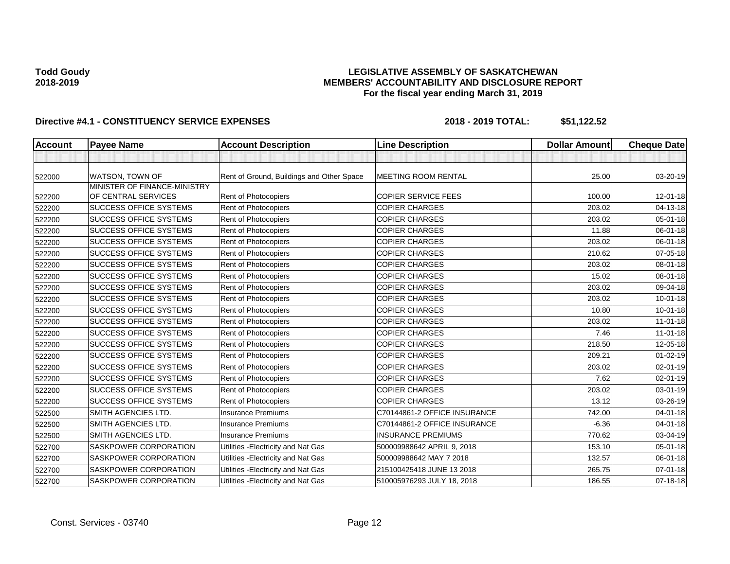### **LEGISLATIVE ASSEMBLY OF SASKATCHEWAN MEMBERS' ACCOUNTABILITY AND DISCLOSURE REPORT For the fiscal year ending March 31, 2019**

| <b>Account</b> | <b>Payee Name</b>             | <b>Account Description</b>                | <b>Line Description</b>      | <b>Dollar Amount</b> | <b>Cheque Date</b> |
|----------------|-------------------------------|-------------------------------------------|------------------------------|----------------------|--------------------|
|                |                               |                                           |                              |                      |                    |
| 522000         | WATSON, TOWN OF               | Rent of Ground, Buildings and Other Space | <b>MEETING ROOM RENTAL</b>   | 25.00                | 03-20-19           |
|                | MINISTER OF FINANCE-MINISTRY  |                                           |                              |                      |                    |
| 522200         | OF CENTRAL SERVICES           | Rent of Photocopiers                      | <b>COPIER SERVICE FEES</b>   | 100.00               | 12-01-18           |
| 522200         | <b>SUCCESS OFFICE SYSTEMS</b> | <b>Rent of Photocopiers</b>               | <b>COPIER CHARGES</b>        | 203.02               | 04-13-18           |
| 522200         | <b>SUCCESS OFFICE SYSTEMS</b> | Rent of Photocopiers                      | <b>COPIER CHARGES</b>        | 203.02               | 05-01-18           |
| 522200         | <b>SUCCESS OFFICE SYSTEMS</b> | Rent of Photocopiers                      | <b>COPIER CHARGES</b>        | 11.88                | 06-01-18           |
| 522200         | SUCCESS OFFICE SYSTEMS        | Rent of Photocopiers                      | <b>COPIER CHARGES</b>        | 203.02               | 06-01-18           |
| 522200         | <b>SUCCESS OFFICE SYSTEMS</b> | Rent of Photocopiers                      | <b>COPIER CHARGES</b>        | 210.62               | 07-05-18           |
| 522200         | <b>SUCCESS OFFICE SYSTEMS</b> | Rent of Photocopiers                      | <b>COPIER CHARGES</b>        | 203.02               | 08-01-18           |
| 522200         | <b>SUCCESS OFFICE SYSTEMS</b> | Rent of Photocopiers                      | <b>COPIER CHARGES</b>        | 15.02                | 08-01-18           |
| 522200         | <b>SUCCESS OFFICE SYSTEMS</b> | Rent of Photocopiers                      | <b>COPIER CHARGES</b>        | 203.02               | 09-04-18           |
| 522200         | SUCCESS OFFICE SYSTEMS        | Rent of Photocopiers                      | <b>COPIER CHARGES</b>        | 203.02               | $10 - 01 - 18$     |
| 522200         | <b>SUCCESS OFFICE SYSTEMS</b> | Rent of Photocopiers                      | <b>COPIER CHARGES</b>        | 10.80                | $10 - 01 - 18$     |
| 522200         | <b>SUCCESS OFFICE SYSTEMS</b> | Rent of Photocopiers                      | <b>COPIER CHARGES</b>        | 203.02               | $11-01-18$         |
| 522200         | <b>SUCCESS OFFICE SYSTEMS</b> | Rent of Photocopiers                      | <b>COPIER CHARGES</b>        | 7.46                 | $11-01-18$         |
| 522200         | <b>SUCCESS OFFICE SYSTEMS</b> | Rent of Photocopiers                      | <b>COPIER CHARGES</b>        | 218.50               | 12-05-18           |
| 522200         | <b>SUCCESS OFFICE SYSTEMS</b> | Rent of Photocopiers                      | <b>COPIER CHARGES</b>        | 209.21               | $01 - 02 - 19$     |
| 522200         | <b>SUCCESS OFFICE SYSTEMS</b> | Rent of Photocopiers                      | <b>COPIER CHARGES</b>        | 203.02               | 02-01-19           |
| 522200         | SUCCESS OFFICE SYSTEMS        | Rent of Photocopiers                      | <b>COPIER CHARGES</b>        | 7.62                 | $02 - 01 - 19$     |
| 522200         | <b>SUCCESS OFFICE SYSTEMS</b> | Rent of Photocopiers                      | <b>COPIER CHARGES</b>        | 203.02               | 03-01-19           |
| 522200         | <b>SUCCESS OFFICE SYSTEMS</b> | Rent of Photocopiers                      | <b>COPIER CHARGES</b>        | 13.12                | 03-26-19           |
| 522500         | SMITH AGENCIES LTD.           | <b>Insurance Premiums</b>                 | C70144861-2 OFFICE INSURANCE | 742.00               | $04 - 01 - 18$     |
| 522500         | SMITH AGENCIES LTD.           | <b>Insurance Premiums</b>                 | C70144861-2 OFFICE INSURANCE | $-6.36$              | $04 - 01 - 18$     |
| 522500         | SMITH AGENCIES LTD.           | <b>Insurance Premiums</b>                 | <b>INSURANCE PREMIUMS</b>    | 770.62               | 03-04-19           |
| 522700         | SASKPOWER CORPORATION         | Utilities - Electricity and Nat Gas       | 500009988642 APRIL 9, 2018   | 153.10               | 05-01-18           |
| 522700         | SASKPOWER CORPORATION         | Utilities - Electricity and Nat Gas       | 500009988642 MAY 7 2018      | 132.57               | 06-01-18           |
| 522700         | SASKPOWER CORPORATION         | Utilities - Electricity and Nat Gas       | 215100425418 JUNE 13 2018    | 265.75               | $07 - 01 - 18$     |
| 522700         | SASKPOWER CORPORATION         | Utilities - Electricity and Nat Gas       | 510005976293 JULY 18, 2018   | 186.55               | $07 - 18 - 18$     |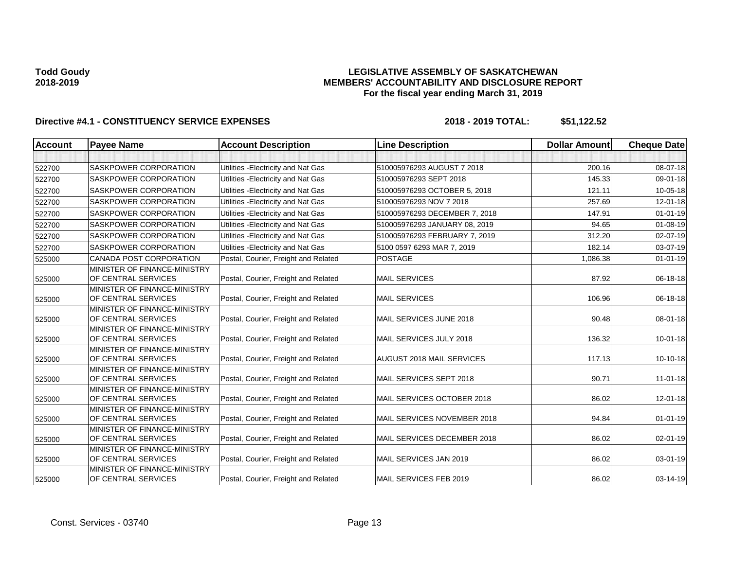### **LEGISLATIVE ASSEMBLY OF SASKATCHEWAN MEMBERS' ACCOUNTABILITY AND DISCLOSURE REPORT For the fiscal year ending March 31, 2019**

| <b>Account</b> | <b>Payee Name</b>                                   | <b>Account Description</b>           | <b>Line Description</b>          | <b>Dollar Amount</b> | <b>Cheque Date</b> |
|----------------|-----------------------------------------------------|--------------------------------------|----------------------------------|----------------------|--------------------|
|                |                                                     |                                      |                                  |                      |                    |
| 522700         | SASKPOWER CORPORATION                               | Utilities - Electricity and Nat Gas  | 510005976293 AUGUST 7 2018       | 200.16               | 08-07-18           |
| 522700         | <b>SASKPOWER CORPORATION</b>                        | Utilities - Electricity and Nat Gas  | 510005976293 SEPT 2018           | 145.33               | 09-01-18           |
| 522700         | <b>SASKPOWER CORPORATION</b>                        | Utilities - Electricity and Nat Gas  | 510005976293 OCTOBER 5, 2018     | 121.11               | $10 - 05 - 18$     |
| 522700         | SASKPOWER CORPORATION                               | Utilities - Electricity and Nat Gas  | 510005976293 NOV 7 2018          | 257.69               | $12 - 01 - 18$     |
| 522700         | <b>SASKPOWER CORPORATION</b>                        | Utilities - Electricity and Nat Gas  | 510005976293 DECEMBER 7, 2018    | 147.91               | $01 - 01 - 19$     |
| 522700         | SASKPOWER CORPORATION                               | Utilities - Electricity and Nat Gas  | 510005976293 JANUARY 08, 2019    | 94.65                | $01 - 08 - 19$     |
| 522700         | <b>SASKPOWER CORPORATION</b>                        | Utilities - Electricity and Nat Gas  | 510005976293 FEBRUARY 7, 2019    | 312.20               | 02-07-19           |
| 522700         | SASKPOWER CORPORATION                               | Utilities - Electricity and Nat Gas  | 5100 0597 6293 MAR 7, 2019       | 182.14               | 03-07-19           |
| 525000         | CANADA POST CORPORATION                             | Postal, Courier, Freight and Related | <b>POSTAGE</b>                   | 1,086.38             | $01 - 01 - 19$     |
| 525000         | MINISTER OF FINANCE-MINISTRY<br>OF CENTRAL SERVICES | Postal, Courier, Freight and Related | <b>MAIL SERVICES</b>             | 87.92                | 06-18-18           |
| 525000         | MINISTER OF FINANCE-MINISTRY<br>OF CENTRAL SERVICES | Postal, Courier, Freight and Related | <b>MAIL SERVICES</b>             | 106.96               | 06-18-18           |
| 525000         | MINISTER OF FINANCE-MINISTRY<br>OF CENTRAL SERVICES | Postal, Courier, Freight and Related | MAIL SERVICES JUNE 2018          | 90.48                | $08 - 01 - 18$     |
| 525000         | MINISTER OF FINANCE-MINISTRY<br>OF CENTRAL SERVICES | Postal, Courier, Freight and Related | MAIL SERVICES JULY 2018          | 136.32               | $10 - 01 - 18$     |
| 525000         | MINISTER OF FINANCE-MINISTRY<br>OF CENTRAL SERVICES | Postal, Courier, Freight and Related | <b>AUGUST 2018 MAIL SERVICES</b> | 117.13               | 10-10-18           |
| 525000         | MINISTER OF FINANCE-MINISTRY<br>OF CENTRAL SERVICES | Postal, Courier, Freight and Related | MAIL SERVICES SEPT 2018          | 90.71                | $11 - 01 - 18$     |
| 525000         | MINISTER OF FINANCE-MINISTRY<br>OF CENTRAL SERVICES | Postal, Courier, Freight and Related | MAIL SERVICES OCTOBER 2018       | 86.02                | 12-01-18           |
| 525000         | MINISTER OF FINANCE-MINISTRY<br>OF CENTRAL SERVICES | Postal, Courier, Freight and Related | MAIL SERVICES NOVEMBER 2018      | 94.84                | $01 - 01 - 19$     |
| 525000         | MINISTER OF FINANCE-MINISTRY<br>OF CENTRAL SERVICES | Postal, Courier, Freight and Related | MAIL SERVICES DECEMBER 2018      | 86.02                | 02-01-19           |
| 525000         | MINISTER OF FINANCE-MINISTRY<br>OF CENTRAL SERVICES | Postal, Courier, Freight and Related | MAIL SERVICES JAN 2019           | 86.02                | 03-01-19           |
| 525000         | MINISTER OF FINANCE-MINISTRY<br>OF CENTRAL SERVICES | Postal, Courier, Freight and Related | MAIL SERVICES FEB 2019           | 86.02                | 03-14-19           |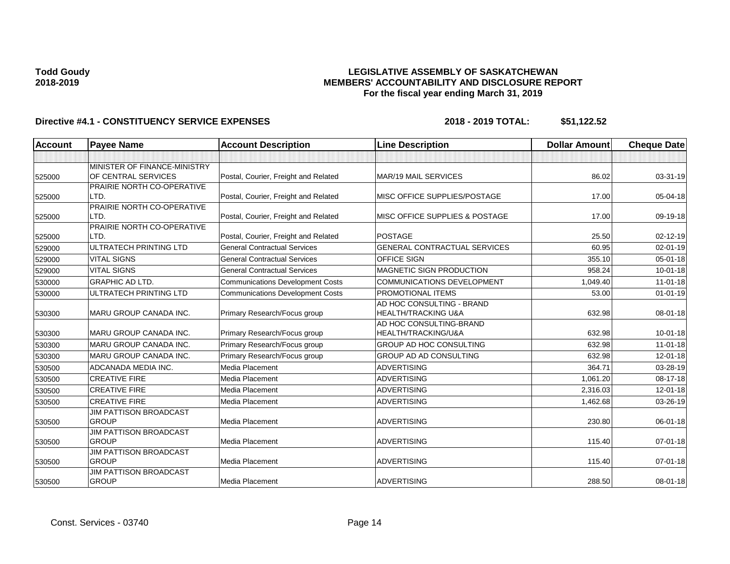### **LEGISLATIVE ASSEMBLY OF SASKATCHEWAN MEMBERS' ACCOUNTABILITY AND DISCLOSURE REPORT For the fiscal year ending March 31, 2019**

| <b>Account</b> | <b>Payee Name</b>                                   | <b>Account Description</b>              | <b>Line Description</b>                                     | <b>Dollar Amount</b> | <b>Cheque Date</b> |
|----------------|-----------------------------------------------------|-----------------------------------------|-------------------------------------------------------------|----------------------|--------------------|
|                |                                                     |                                         |                                                             |                      |                    |
| 525000         | MINISTER OF FINANCE-MINISTRY<br>OF CENTRAL SERVICES | Postal, Courier, Freight and Related    | MAR/19 MAIL SERVICES                                        | 86.02                | 03-31-19           |
| 525000         | PRAIRIE NORTH CO-OPERATIVE<br>LTD.                  | Postal, Courier, Freight and Related    | MISC OFFICE SUPPLIES/POSTAGE                                | 17.00                | 05-04-18           |
| 525000         | PRAIRIE NORTH CO-OPERATIVE<br>LTD.                  | Postal, Courier, Freight and Related    | MISC OFFICE SUPPLIES & POSTAGE                              | 17.00                | 09-19-18           |
| 525000         | PRAIRIE NORTH CO-OPERATIVE<br>LTD.                  | Postal, Courier, Freight and Related    | POSTAGE                                                     | 25.50                | 02-12-19           |
| 529000         | ULTRATECH PRINTING LTD                              | <b>General Contractual Services</b>     | <b>GENERAL CONTRACTUAL SERVICES</b>                         | 60.95                | 02-01-19           |
| 529000         | <b>VITAL SIGNS</b>                                  | <b>General Contractual Services</b>     | OFFICE SIGN                                                 | 355.10               | 05-01-18           |
| 529000         | <b>VITAL SIGNS</b>                                  | <b>General Contractual Services</b>     | MAGNETIC SIGN PRODUCTION                                    | 958.24               | $10 - 01 - 18$     |
| 530000         | <b>GRAPHIC AD LTD.</b>                              | <b>Communications Development Costs</b> | <b>COMMUNICATIONS DEVELOPMENT</b>                           | 1,049.40             | $11-01-18$         |
| 530000         | ULTRATECH PRINTING LTD                              | <b>Communications Development Costs</b> | PROMOTIONAL ITEMS                                           | 53.00                | $01 - 01 - 19$     |
| 530300         | <b>MARU GROUP CANADA INC.</b>                       | Primary Research/Focus group            | AD HOC CONSULTING - BRAND<br><b>HEALTH/TRACKING U&amp;A</b> | 632.98               | 08-01-18           |
| 530300         | <b>MARU GROUP CANADA INC.</b>                       | Primary Research/Focus group            | AD HOC CONSULTING-BRAND<br>HEALTH/TRACKING/U&A              | 632.98               | $10 - 01 - 18$     |
| 530300         | MARU GROUP CANADA INC.                              | Primary Research/Focus group            | GROUP AD HOC CONSULTING                                     | 632.98               | $11 - 01 - 18$     |
| 530300         | <b>MARU GROUP CANADA INC.</b>                       | Primary Research/Focus group            | GROUP AD AD CONSULTING                                      | 632.98               | 12-01-18           |
| 530500         | ADCANADA MEDIA INC.                                 | Media Placement                         | <b>ADVERTISING</b>                                          | 364.71               | 03-28-19           |
| 530500         | <b>CREATIVE FIRE</b>                                | Media Placement                         | <b>ADVERTISING</b>                                          | 1,061.20             | 08-17-18           |
| 530500         | <b>CREATIVE FIRE</b>                                | Media Placement                         | <b>ADVERTISING</b>                                          | 2,316.03             | 12-01-18           |
| 530500         | <b>CREATIVE FIRE</b>                                | Media Placement                         | <b>ADVERTISING</b>                                          | 1,462.68             | 03-26-19           |
| 530500         | <b>JIM PATTISON BROADCAST</b><br><b>GROUP</b>       | Media Placement                         | <b>ADVERTISING</b>                                          | 230.80               | 06-01-18           |
| 530500         | <b>JIM PATTISON BROADCAST</b><br><b>GROUP</b>       | Media Placement                         | <b>ADVERTISING</b>                                          | 115.40               | $07 - 01 - 18$     |
| 530500         | <b>JIM PATTISON BROADCAST</b><br><b>GROUP</b>       | Media Placement                         | <b>ADVERTISING</b>                                          | 115.40               | $07 - 01 - 18$     |
| 530500         | <b>JIM PATTISON BROADCAST</b><br><b>GROUP</b>       | Media Placement                         | <b>ADVERTISING</b>                                          | 288.50               | $08 - 01 - 18$     |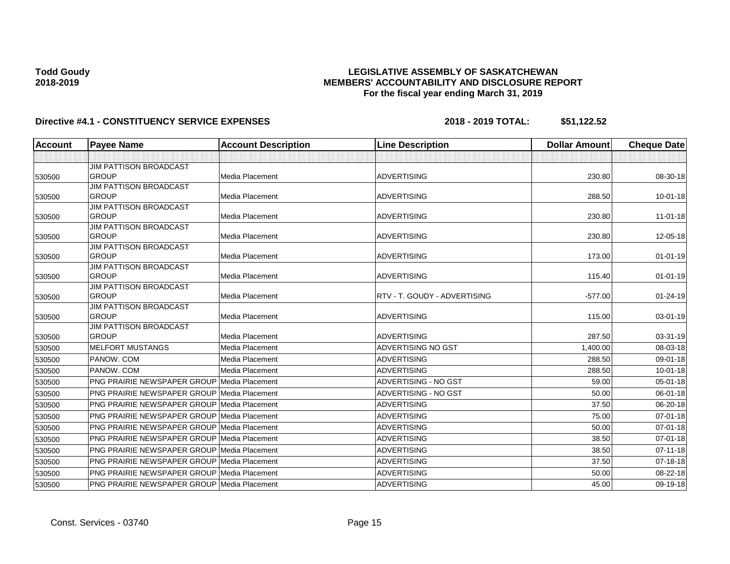### **LEGISLATIVE ASSEMBLY OF SASKATCHEWAN MEMBERS' ACCOUNTABILITY AND DISCLOSURE REPORT For the fiscal year ending March 31, 2019**

| <b>Account</b> | <b>Payee Name</b>                                  | <b>Account Description</b> | <b>Line Description</b>      | <b>Dollar Amount</b> | <b>Cheque Date</b> |
|----------------|----------------------------------------------------|----------------------------|------------------------------|----------------------|--------------------|
|                |                                                    |                            |                              |                      |                    |
|                | <b>JIM PATTISON BROADCAST</b>                      |                            |                              |                      |                    |
| 530500         | <b>GROUP</b>                                       | Media Placement            | <b>ADVERTISING</b>           | 230.80               | 08-30-18           |
|                | <b>JIM PATTISON BROADCAST</b>                      |                            |                              |                      |                    |
| 530500         | <b>GROUP</b>                                       | Media Placement            | <b>ADVERTISING</b>           | 288.50               | $10 - 01 - 18$     |
|                | JIM PATTISON BROADCAST                             |                            |                              |                      |                    |
| 530500         | <b>GROUP</b>                                       | Media Placement            | <b>ADVERTISING</b>           | 230.80               | $11-01-18$         |
|                | <b>JIM PATTISON BROADCAST</b><br><b>GROUP</b>      | Media Placement            | <b>ADVERTISING</b>           | 230.80               | 12-05-18           |
| 530500         | <b>JIM PATTISON BROADCAST</b>                      |                            |                              |                      |                    |
| 530500         | <b>GROUP</b>                                       | Media Placement            | <b>ADVERTISING</b>           | 173.00               | $01 - 01 - 19$     |
|                | JIM PATTISON BROADCAST                             |                            |                              |                      |                    |
| 530500         | <b>GROUP</b>                                       | Media Placement            | <b>ADVERTISING</b>           | 115.40               | $01 - 01 - 19$     |
|                | <b>JIM PATTISON BROADCAST</b>                      |                            |                              |                      |                    |
| 530500         | <b>GROUP</b>                                       | Media Placement            | RTV - T. GOUDY - ADVERTISING | $-577.00$            | $01 - 24 - 19$     |
|                | <b>JIM PATTISON BROADCAST</b>                      |                            |                              |                      |                    |
| 530500         | <b>GROUP</b>                                       | Media Placement            | <b>ADVERTISING</b>           | 115.00               | 03-01-19           |
|                | <b>JIM PATTISON BROADCAST</b>                      |                            |                              |                      |                    |
| 530500         | <b>GROUP</b>                                       | Media Placement            | <b>ADVERTISING</b>           | 287.50               | 03-31-19           |
| 530500         | <b>MELFORT MUSTANGS</b>                            | Media Placement            | <b>ADVERTISING NO GST</b>    | 1,400.00             | 08-03-18           |
| 530500         | PANOW, COM                                         | Media Placement            | <b>ADVERTISING</b>           | 288.50               | 09-01-18           |
| 530500         | PANOW, COM                                         | <b>Media Placement</b>     | <b>ADVERTISING</b>           | 288.50               | $10 - 01 - 18$     |
| 530500         | <b>PNG PRAIRIE NEWSPAPER GROUP Media Placement</b> |                            | ADVERTISING - NO GST         | 59.00                | 05-01-18           |
| 530500         | <b>PNG PRAIRIE NEWSPAPER GROUP Media Placement</b> |                            | ADVERTISING - NO GST         | 50.00                | 06-01-18           |
| 530500         | <b>PNG PRAIRIE NEWSPAPER GROUP Media Placement</b> |                            | <b>ADVERTISING</b>           | 37.50                | 06-20-18           |
| 530500         | <b>PNG PRAIRIE NEWSPAPER GROUP Media Placement</b> |                            | <b>ADVERTISING</b>           | 75.00                | 07-01-18           |
| 530500         | <b>PNG PRAIRIE NEWSPAPER GROUP Media Placement</b> |                            | <b>ADVERTISING</b>           | 50.00                | $07 - 01 - 18$     |
| 530500         | <b>PNG PRAIRIE NEWSPAPER GROUP Media Placement</b> |                            | <b>ADVERTISING</b>           | 38.50                | 07-01-18           |
| 530500         | <b>PNG PRAIRIE NEWSPAPER GROUP Media Placement</b> |                            | <b>ADVERTISING</b>           | 38.50                | $07 - 11 - 18$     |
| 530500         | <b>PNG PRAIRIE NEWSPAPER GROUP Media Placement</b> |                            | <b>ADVERTISING</b>           | 37.50                | $07 - 18 - 18$     |
| 530500         | <b>PNG PRAIRIE NEWSPAPER GROUP Media Placement</b> |                            | <b>ADVERTISING</b>           | 50.00                | 08-22-18           |
| 530500         | PNG PRAIRIE NEWSPAPER GROUP Media Placement        |                            | <b>ADVERTISING</b>           | 45.00                | 09-19-18           |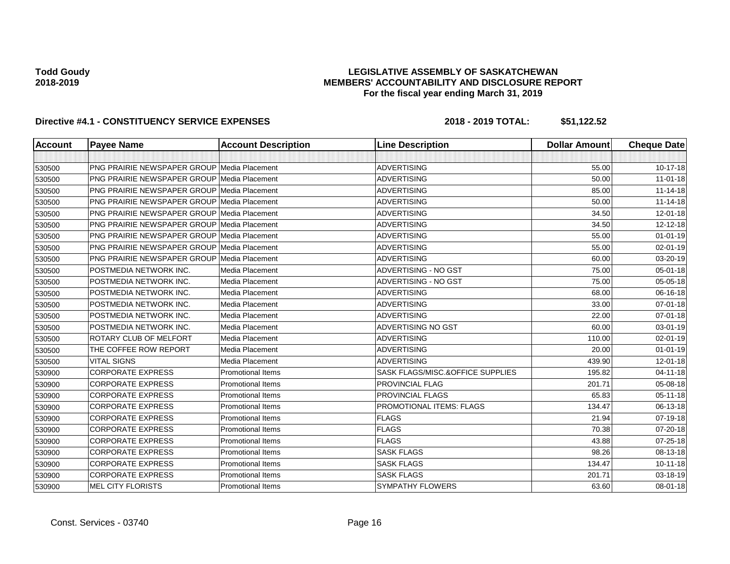### **LEGISLATIVE ASSEMBLY OF SASKATCHEWAN MEMBERS' ACCOUNTABILITY AND DISCLOSURE REPORT For the fiscal year ending March 31, 2019**

| <b>Account</b> | <b>Payee Name</b>                                  | <b>Account Description</b> | <b>Line Description</b>          | <b>Dollar Amount</b> | <b>Cheque Date</b> |
|----------------|----------------------------------------------------|----------------------------|----------------------------------|----------------------|--------------------|
|                |                                                    |                            |                                  |                      |                    |
| 530500         | <b>PNG PRAIRIE NEWSPAPER GROUP Media Placement</b> |                            | <b>ADVERTISING</b>               | 55.00                | 10-17-18           |
| 530500         | <b>PNG PRAIRIE NEWSPAPER GROUP Media Placement</b> |                            | <b>ADVERTISING</b>               | 50.00                | $11 - 01 - 18$     |
| 530500         | <b>PNG PRAIRIE NEWSPAPER GROUP Media Placement</b> |                            | <b>ADVERTISING</b>               | 85.00                | $11 - 14 - 18$     |
| 530500         | <b>PNG PRAIRIE NEWSPAPER GROUP Media Placement</b> |                            | <b>ADVERTISING</b>               | 50.00                | $11 - 14 - 18$     |
| 530500         | <b>PNG PRAIRIE NEWSPAPER GROUP Media Placement</b> |                            | <b>ADVERTISING</b>               | 34.50                | $12 - 01 - 18$     |
| 530500         | <b>PNG PRAIRIE NEWSPAPER GROUP Media Placement</b> |                            | <b>ADVERTISING</b>               | 34.50                | 12-12-18           |
| 530500         | <b>PNG PRAIRIE NEWSPAPER GROUP Media Placement</b> |                            | <b>ADVERTISING</b>               | 55.00                | $01 - 01 - 19$     |
| 530500         | <b>PNG PRAIRIE NEWSPAPER GROUP Media Placement</b> |                            | <b>ADVERTISING</b>               | 55.00                | 02-01-19           |
| 530500         | PNG PRAIRIE NEWSPAPER GROUP   Media Placement      |                            | <b>ADVERTISING</b>               | 60.00                | 03-20-19           |
| 530500         | POSTMEDIA NETWORK INC.                             | Media Placement            | ADVERTISING - NO GST             | 75.00                | 05-01-18           |
| 530500         | POSTMEDIA NETWORK INC.                             | Media Placement            | ADVERTISING - NO GST             | 75.00                | 05-05-18           |
| 530500         | POSTMEDIA NETWORK INC.                             | Media Placement            | <b>ADVERTISING</b>               | 68.00                | 06-16-18           |
| 530500         | POSTMEDIA NETWORK INC.                             | Media Placement            | <b>ADVERTISING</b>               | 33.00                | $07 - 01 - 18$     |
| 530500         | POSTMEDIA NETWORK INC.                             | Media Placement            | <b>ADVERTISING</b>               | 22.00                | 07-01-18           |
| 530500         | POSTMEDIA NETWORK INC.                             | Media Placement            | ADVERTISING NO GST               | 60.00                | 03-01-19           |
| 530500         | <b>ROTARY CLUB OF MELFORT</b>                      | Media Placement            | <b>ADVERTISING</b>               | 110.00               | $02 - 01 - 19$     |
| 530500         | THE COFFEE ROW REPORT                              | Media Placement            | <b>ADVERTISING</b>               | 20.00                | $01 - 01 - 19$     |
| 530500         | <b>VITAL SIGNS</b>                                 | Media Placement            | <b>ADVERTISING</b>               | 439.90               | 12-01-18           |
| 530900         | <b>CORPORATE EXPRESS</b>                           | <b>Promotional Items</b>   | SASK FLAGS/MISC.&OFFICE SUPPLIES | 195.82               | $04 - 11 - 18$     |
| 530900         | <b>CORPORATE EXPRESS</b>                           | <b>Promotional Items</b>   | PROVINCIAL FLAG                  | 201.71               | 05-08-18           |
| 530900         | <b>CORPORATE EXPRESS</b>                           | <b>Promotional Items</b>   | PROVINCIAL FLAGS                 | 65.83                | 05-11-18           |
| 530900         | <b>CORPORATE EXPRESS</b>                           | <b>Promotional Items</b>   | PROMOTIONAL ITEMS: FLAGS         | 134.47               | 06-13-18           |
| 530900         | <b>CORPORATE EXPRESS</b>                           | <b>Promotional Items</b>   | <b>FLAGS</b>                     | 21.94                | 07-19-18           |
| 530900         | <b>CORPORATE EXPRESS</b>                           | <b>Promotional Items</b>   | <b>FLAGS</b>                     | 70.38                | 07-20-18           |
| 530900         | <b>CORPORATE EXPRESS</b>                           | <b>Promotional Items</b>   | <b>FLAGS</b>                     | 43.88                | 07-25-18           |
| 530900         | <b>CORPORATE EXPRESS</b>                           | <b>Promotional Items</b>   | <b>SASK FLAGS</b>                | 98.26                | 08-13-18           |
| 530900         | <b>CORPORATE EXPRESS</b>                           | <b>Promotional Items</b>   | <b>SASK FLAGS</b>                | 134.47               | $10 - 11 - 18$     |
| 530900         | <b>CORPORATE EXPRESS</b>                           | <b>Promotional Items</b>   | <b>SASK FLAGS</b>                | 201.71               | 03-18-19           |
| 530900         | <b>MEL CITY FLORISTS</b>                           | <b>Promotional Items</b>   | <b>SYMPATHY FLOWERS</b>          | 63.60                | 08-01-18           |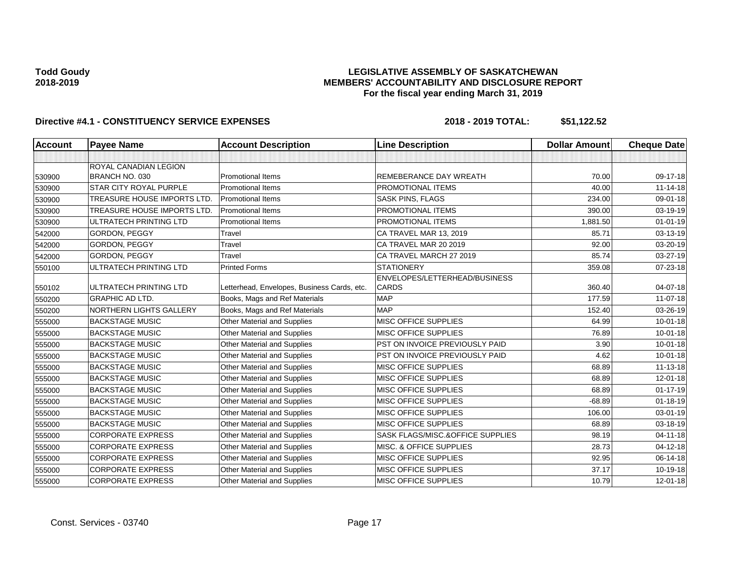### **LEGISLATIVE ASSEMBLY OF SASKATCHEWAN MEMBERS' ACCOUNTABILITY AND DISCLOSURE REPORT For the fiscal year ending March 31, 2019**

| <b>Account</b> | <b>Payee Name</b>                  | <b>Account Description</b>                  | <b>Line Description</b>          | <b>Dollar Amount</b> | <b>Cheque Date</b> |
|----------------|------------------------------------|---------------------------------------------|----------------------------------|----------------------|--------------------|
|                |                                    |                                             |                                  |                      |                    |
|                | ROYAL CANADIAN LEGION              |                                             |                                  |                      |                    |
| 530900         | BRANCH NO. 030                     | <b>Promotional Items</b>                    | REMEBERANCE DAY WREATH           | 70.00                | 09-17-18           |
| 530900         | STAR CITY ROYAL PURPLE             | <b>Promotional Items</b>                    | PROMOTIONAL ITEMS                | 40.00                | $11 - 14 - 18$     |
| 530900         | <b>TREASURE HOUSE IMPORTS LTD.</b> | <b>Promotional Items</b>                    | <b>SASK PINS, FLAGS</b>          | 234.00               | 09-01-18           |
| 530900         | <b>TREASURE HOUSE IMPORTS LTD.</b> | <b>Promotional Items</b>                    | PROMOTIONAL ITEMS                | 390.00               | 03-19-19           |
| 530900         | ULTRATECH PRINTING LTD             | <b>Promotional Items</b>                    | PROMOTIONAL ITEMS                | 1,881.50             | $01 - 01 - 19$     |
| 542000         | <b>GORDON, PEGGY</b>               | Travel                                      | CA TRAVEL MAR 13, 2019           | 85.71                | 03-13-19           |
| 542000         | GORDON, PEGGY                      | Travel                                      | CA TRAVEL MAR 20 2019            | 92.00                | 03-20-19           |
| 542000         | GORDON, PEGGY                      | Travel                                      | CA TRAVEL MARCH 27 2019          | 85.74                | $03 - 27 - 19$     |
| 550100         | ULTRATECH PRINTING LTD             | <b>Printed Forms</b>                        | <b>STATIONERY</b>                | 359.08               | 07-23-18           |
|                |                                    |                                             | ENVELOPES/LETTERHEAD/BUSINESS    |                      |                    |
| 550102         | ULTRATECH PRINTING LTD             | Letterhead, Envelopes, Business Cards, etc. | <b>CARDS</b>                     | 360.40               | 04-07-18           |
| 550200         | <b>GRAPHIC AD LTD.</b>             | Books, Mags and Ref Materials               | <b>MAP</b>                       | 177.59               | $11 - 07 - 18$     |
| 550200         | <b>NORTHERN LIGHTS GALLERY</b>     | Books, Mags and Ref Materials               | <b>MAP</b>                       | 152.40               | 03-26-19           |
| 555000         | <b>BACKSTAGE MUSIC</b>             | Other Material and Supplies                 | <b>MISC OFFICE SUPPLIES</b>      | 64.99                | $10 - 01 - 18$     |
| 555000         | <b>BACKSTAGE MUSIC</b>             | <b>Other Material and Supplies</b>          | MISC OFFICE SUPPLIES             | 76.89                | $10 - 01 - 18$     |
| 555000         | <b>BACKSTAGE MUSIC</b>             | Other Material and Supplies                 | PST ON INVOICE PREVIOUSLY PAID   | 3.90                 | $10 - 01 - 18$     |
| 555000         | <b>BACKSTAGE MUSIC</b>             | Other Material and Supplies                 | PST ON INVOICE PREVIOUSLY PAID   | 4.62                 | $10 - 01 - 18$     |
| 555000         | <b>BACKSTAGE MUSIC</b>             | Other Material and Supplies                 | <b>MISC OFFICE SUPPLIES</b>      | 68.89                | $11 - 13 - 18$     |
| 555000         | <b>BACKSTAGE MUSIC</b>             | <b>Other Material and Supplies</b>          | <b>MISC OFFICE SUPPLIES</b>      | 68.89                | $12 - 01 - 18$     |
| 555000         | <b>BACKSTAGE MUSIC</b>             | <b>Other Material and Supplies</b>          | MISC OFFICE SUPPLIES             | 68.89                | $01 - 17 - 19$     |
| 555000         | <b>BACKSTAGE MUSIC</b>             | Other Material and Supplies                 | MISC OFFICE SUPPLIES             | $-68.89$             | $01 - 18 - 19$     |
| 555000         | <b>BACKSTAGE MUSIC</b>             | <b>Other Material and Supplies</b>          | MISC OFFICE SUPPLIES             | 106.00               | 03-01-19           |
| 555000         | <b>BACKSTAGE MUSIC</b>             | Other Material and Supplies                 | MISC OFFICE SUPPLIES             | 68.89                | 03-18-19           |
| 555000         | <b>CORPORATE EXPRESS</b>           | Other Material and Supplies                 | SASK FLAGS/MISC.&OFFICE SUPPLIES | 98.19                | $04 - 11 - 18$     |
| 555000         | <b>CORPORATE EXPRESS</b>           | Other Material and Supplies                 | MISC. & OFFICE SUPPLIES          | 28.73                | $04 - 12 - 18$     |
| 555000         | <b>CORPORATE EXPRESS</b>           | Other Material and Supplies                 | MISC OFFICE SUPPLIES             | 92.95                | 06-14-18           |
| 555000         | <b>CORPORATE EXPRESS</b>           | <b>Other Material and Supplies</b>          | MISC OFFICE SUPPLIES             | 37.17                | 10-19-18           |
| 555000         | <b>CORPORATE EXPRESS</b>           | Other Material and Supplies                 | MISC OFFICE SUPPLIES             | 10.79                | $12 - 01 - 18$     |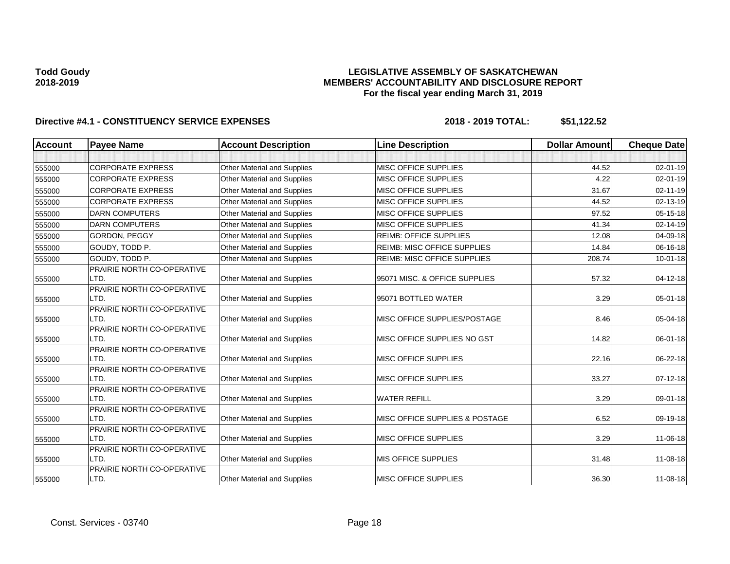### **LEGISLATIVE ASSEMBLY OF SASKATCHEWAN MEMBERS' ACCOUNTABILITY AND DISCLOSURE REPORT For the fiscal year ending March 31, 2019**

| <b>Account</b> | <b>Payee Name</b>                         | <b>Account Description</b>         | <b>Line Description</b>                   | <b>Dollar Amount</b> | <b>Cheque Date</b> |
|----------------|-------------------------------------------|------------------------------------|-------------------------------------------|----------------------|--------------------|
|                |                                           |                                    |                                           |                      |                    |
| 555000         | <b>CORPORATE EXPRESS</b>                  | <b>Other Material and Supplies</b> | <b>MISC OFFICE SUPPLIES</b>               | 44.52                | $02 - 01 - 19$     |
| 555000         | <b>CORPORATE EXPRESS</b>                  | Other Material and Supplies        | MISC OFFICE SUPPLIES                      | 4.22                 | 02-01-19           |
| 555000         | <b>CORPORATE EXPRESS</b>                  | Other Material and Supplies        | MISC OFFICE SUPPLIES                      | 31.67                | $02 - 11 - 19$     |
| 555000         | <b>CORPORATE EXPRESS</b>                  | Other Material and Supplies        | <b>MISC OFFICE SUPPLIES</b>               | 44.52                | 02-13-19           |
| 555000         | <b>DARN COMPUTERS</b>                     | Other Material and Supplies        | <b>MISC OFFICE SUPPLIES</b>               | 97.52                | 05-15-18           |
| 555000         | <b>DARN COMPUTERS</b>                     | Other Material and Supplies        | <b>MISC OFFICE SUPPLIES</b>               | 41.34                | 02-14-19           |
| 555000         | GORDON, PEGGY                             | Other Material and Supplies        | <b>REIMB: OFFICE SUPPLIES</b>             | 12.08                | 04-09-18           |
| 555000         | GOUDY, TODD P.                            | Other Material and Supplies        | <b>REIMB: MISC OFFICE SUPPLIES</b>        | 14.84                | 06-16-18           |
| 555000         | GOUDY, TODD P.                            | Other Material and Supplies        | REIMB: MISC OFFICE SUPPLIES               | 208.74               | $10-01-18$         |
| 555000         | PRAIRIE NORTH CO-OPERATIVE<br>LTD.        | Other Material and Supplies        | 95071 MISC. & OFFICE SUPPLIES             | 57.32                | $04 - 12 - 18$     |
| 555000         | PRAIRIE NORTH CO-OPERATIVE<br>LTD.        | Other Material and Supplies        | 95071 BOTTLED WATER                       | 3.29                 | 05-01-18           |
| 555000         | PRAIRIE NORTH CO-OPERATIVE<br>LTD.        | <b>Other Material and Supplies</b> | <b>MISC OFFICE SUPPLIES/POSTAGE</b>       | 8.46                 | 05-04-18           |
| 555000         | PRAIRIE NORTH CO-OPERATIVE<br>LTD.        | Other Material and Supplies        | MISC OFFICE SUPPLIES NO GST               | 14.82                | 06-01-18           |
| 555000         | PRAIRIE NORTH CO-OPERATIVE<br>LTD.        | Other Material and Supplies        | <b>MISC OFFICE SUPPLIES</b>               | 22.16                | 06-22-18           |
| 555000         | <b>PRAIRIE NORTH CO-OPERATIVE</b><br>LTD. | Other Material and Supplies        | <b>MISC OFFICE SUPPLIES</b>               | 33.27                | $07-12-18$         |
| 555000         | <b>PRAIRIE NORTH CO-OPERATIVE</b><br>LTD. | <b>Other Material and Supplies</b> | <b>WATER REFILL</b>                       | 3.29                 | 09-01-18           |
| 555000         | <b>PRAIRIE NORTH CO-OPERATIVE</b><br>LTD. | Other Material and Supplies        | <b>MISC OFFICE SUPPLIES &amp; POSTAGE</b> | 6.52                 | 09-19-18           |
| 555000         | PRAIRIE NORTH CO-OPERATIVE<br>LTD.        | Other Material and Supplies        | MISC OFFICE SUPPLIES                      | 3.29                 | 11-06-18           |
| 555000         | PRAIRIE NORTH CO-OPERATIVE<br>LTD.        | Other Material and Supplies        | <b>MIS OFFICE SUPPLIES</b>                | 31.48                | 11-08-18           |
| 555000         | PRAIRIE NORTH CO-OPERATIVE<br>LTD.        | <b>Other Material and Supplies</b> | <b>MISC OFFICE SUPPLIES</b>               | 36.30                | 11-08-18           |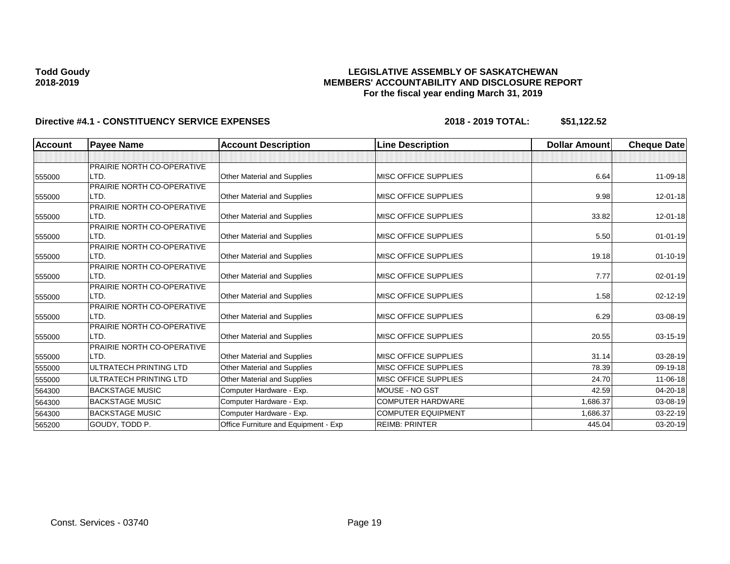### **LEGISLATIVE ASSEMBLY OF SASKATCHEWAN MEMBERS' ACCOUNTABILITY AND DISCLOSURE REPORT For the fiscal year ending March 31, 2019**

| <b>Account</b> | <b>Payee Name</b>          | <b>Account Description</b>           | <b>Line Description</b>      | <b>Dollar Amount</b> | <b>Cheque Date</b> |
|----------------|----------------------------|--------------------------------------|------------------------------|----------------------|--------------------|
|                |                            |                                      |                              |                      |                    |
|                | PRAIRIE NORTH CO-OPERATIVE |                                      |                              |                      |                    |
| 555000         | LTD.                       | <b>Other Material and Supplies</b>   | <b>MISC OFFICE SUPPLIES</b>  | 6.64                 | 11-09-18           |
|                | PRAIRIE NORTH CO-OPERATIVE |                                      |                              |                      |                    |
| 555000         | LTD.                       | <b>Other Material and Supplies</b>   | <b>MISC OFFICE SUPPLIES</b>  | 9.98                 | $12 - 01 - 18$     |
|                | PRAIRIE NORTH CO-OPERATIVE |                                      |                              |                      |                    |
| 555000         | LTD.                       | Other Material and Supplies          | MISC OFFICE SUPPLIES         | 33.82                | $12 - 01 - 18$     |
|                | PRAIRIE NORTH CO-OPERATIVE |                                      |                              |                      |                    |
| 555000         | LTD.                       | <b>Other Material and Supplies</b>   | <b>IMISC OFFICE SUPPLIES</b> | 5.50                 | $01 - 01 - 19$     |
|                | PRAIRIE NORTH CO-OPERATIVE |                                      |                              |                      |                    |
| 555000         | LTD.                       | Other Material and Supplies          | <b>IMISC OFFICE SUPPLIES</b> | 19.18                | $01 - 10 - 19$     |
|                | PRAIRIE NORTH CO-OPERATIVE |                                      |                              |                      |                    |
| 555000         | LTD.                       | <b>Other Material and Supplies</b>   | <b>IMISC OFFICE SUPPLIES</b> | 7.77                 | 02-01-19           |
|                | PRAIRIE NORTH CO-OPERATIVE |                                      |                              |                      |                    |
| 555000         | LTD.                       | Other Material and Supplies          | <b>MISC OFFICE SUPPLIES</b>  | 1.58                 | 02-12-19           |
|                | PRAIRIE NORTH CO-OPERATIVE |                                      |                              |                      |                    |
| 555000         | LTD.                       | Other Material and Supplies          | <b>MISC OFFICE SUPPLIES</b>  | 6.29                 | 03-08-19           |
|                | PRAIRIE NORTH CO-OPERATIVE |                                      |                              |                      |                    |
| 555000         | LTD.                       | <b>Other Material and Supplies</b>   | <b>MISC OFFICE SUPPLIES</b>  | 20.55                | $03 - 15 - 19$     |
|                | PRAIRIE NORTH CO-OPERATIVE |                                      |                              |                      |                    |
| 555000         | LTD.                       | Other Material and Supplies          | <b>MISC OFFICE SUPPLIES</b>  | 31.14                | 03-28-19           |
| 555000         | ULTRATECH PRINTING LTD     | <b>Other Material and Supplies</b>   | <b>MISC OFFICE SUPPLIES</b>  | 78.39                | 09-19-18           |
| 555000         | ULTRATECH PRINTING LTD     | Other Material and Supplies          | <b>MISC OFFICE SUPPLIES</b>  | 24.70                | 11-06-18           |
| 564300         | <b>BACKSTAGE MUSIC</b>     | Computer Hardware - Exp.             | MOUSE - NO GST               | 42.59                | 04-20-18           |
| 564300         | <b>BACKSTAGE MUSIC</b>     | Computer Hardware - Exp.             | <b>COMPUTER HARDWARE</b>     | 1,686.37             | 03-08-19           |
| 564300         | <b>BACKSTAGE MUSIC</b>     | Computer Hardware - Exp.             | <b>COMPUTER EQUIPMENT</b>    | 1,686.37             | 03-22-19           |
| 565200         | GOUDY, TODD P.             | Office Furniture and Equipment - Exp | <b>REIMB: PRINTER</b>        | 445.04               | 03-20-19           |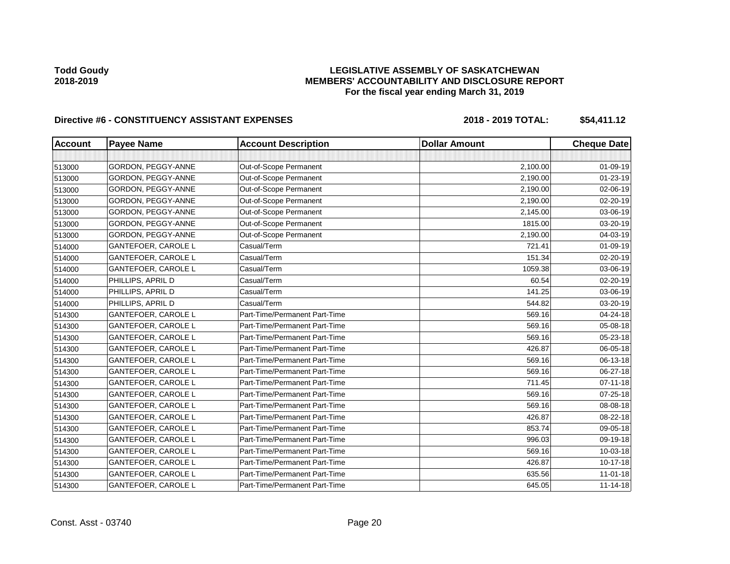## **LEGISLATIVE ASSEMBLY OF SASKATCHEWAN MEMBERS' ACCOUNTABILITY AND DISCLOSURE REPORT For the fiscal year ending March 31, 2019**

| <b>Account</b> | <b>Payee Name</b>          | <b>Account Description</b>    | <b>Dollar Amount</b> | <b>Cheque Date</b> |
|----------------|----------------------------|-------------------------------|----------------------|--------------------|
|                |                            |                               |                      |                    |
| 513000         | GORDON, PEGGY-ANNE         | Out-of-Scope Permanent        | 2,100.00             | $01 - 09 - 19$     |
| 513000         | GORDON, PEGGY-ANNE         | Out-of-Scope Permanent        | 2,190.00             | $01 - 23 - 19$     |
| 513000         | GORDON, PEGGY-ANNE         | Out-of-Scope Permanent        | 2,190.00             | 02-06-19           |
| 513000         | GORDON, PEGGY-ANNE         | Out-of-Scope Permanent        | 2,190.00             | 02-20-19           |
| 513000         | GORDON, PEGGY-ANNE         | Out-of-Scope Permanent        | 2,145.00             | 03-06-19           |
| 513000         | GORDON, PEGGY-ANNE         | Out-of-Scope Permanent        | 1815.00              | 03-20-19           |
| 513000         | GORDON, PEGGY-ANNE         | Out-of-Scope Permanent        | 2,190.00             | 04-03-19           |
| 514000         | <b>GANTEFOER, CAROLE L</b> | Casual/Term                   | 721.41               | $01 - 09 - 19$     |
| 514000         | <b>GANTEFOER, CAROLE L</b> | Casual/Term                   | 151.34               | 02-20-19           |
| 514000         | <b>GANTEFOER, CAROLE L</b> | Casual/Term                   | 1059.38              | 03-06-19           |
| 514000         | PHILLIPS, APRIL D          | Casual/Term                   | 60.54                | 02-20-19           |
| 514000         | PHILLIPS, APRIL D          | Casual/Term                   | 141.25               | 03-06-19           |
| 514000         | PHILLIPS, APRIL D          | Casual/Term                   | 544.82               | 03-20-19           |
| 514300         | GANTEFOER, CAROLE L        | Part-Time/Permanent Part-Time | 569.16               | 04-24-18           |
| 514300         | <b>GANTEFOER, CAROLE L</b> | Part-Time/Permanent Part-Time | 569.16               | 05-08-18           |
| 514300         | <b>GANTEFOER, CAROLE L</b> | Part-Time/Permanent Part-Time | 569.16               | 05-23-18           |
| 514300         | <b>GANTEFOER, CAROLE L</b> | Part-Time/Permanent Part-Time | 426.87               | 06-05-18           |
| 514300         | <b>GANTEFOER, CAROLE L</b> | Part-Time/Permanent Part-Time | 569.16               | 06-13-18           |
| 514300         | <b>GANTEFOER, CAROLE L</b> | Part-Time/Permanent Part-Time | 569.16               | 06-27-18           |
| 514300         | <b>GANTEFOER, CAROLE L</b> | Part-Time/Permanent Part-Time | 711.45               | $07 - 11 - 18$     |
| 514300         | <b>GANTEFOER, CAROLE L</b> | Part-Time/Permanent Part-Time | 569.16               | $07 - 25 - 18$     |
| 514300         | <b>GANTEFOER, CAROLE L</b> | Part-Time/Permanent Part-Time | 569.16               | 08-08-18           |
| 514300         | <b>GANTEFOER, CAROLE L</b> | Part-Time/Permanent Part-Time | 426.87               | 08-22-18           |
| 514300         | <b>GANTEFOER, CAROLE L</b> | Part-Time/Permanent Part-Time | 853.74               | 09-05-18           |
| 514300         | <b>GANTEFOER, CAROLE L</b> | Part-Time/Permanent Part-Time | 996.03               | 09-19-18           |
| 514300         | <b>GANTEFOER, CAROLE L</b> | Part-Time/Permanent Part-Time | 569.16               | 10-03-18           |
| 514300         | <b>GANTEFOER, CAROLE L</b> | Part-Time/Permanent Part-Time | 426.87               | $10 - 17 - 18$     |
| 514300         | GANTEFOER, CAROLE L        | Part-Time/Permanent Part-Time | 635.56               | $11-01-18$         |
| 514300         | <b>GANTEFOER, CAROLE L</b> | Part-Time/Permanent Part-Time | 645.05               | $11 - 14 - 18$     |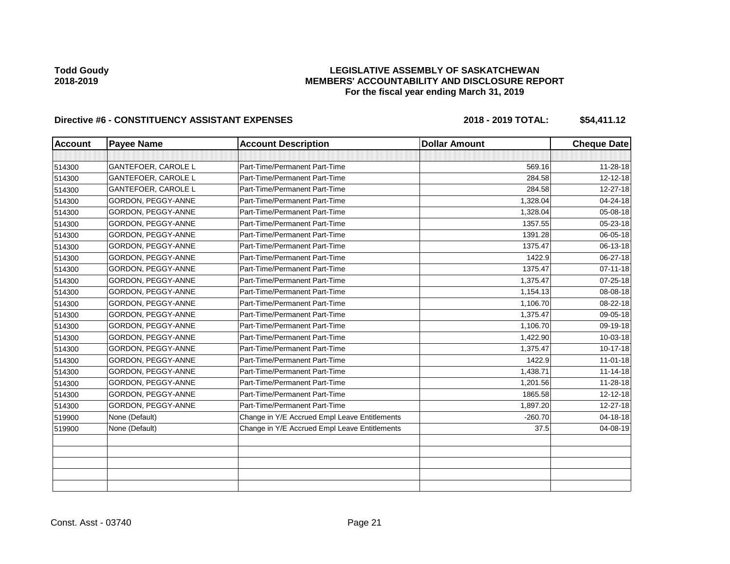## **LEGISLATIVE ASSEMBLY OF SASKATCHEWAN MEMBERS' ACCOUNTABILITY AND DISCLOSURE REPORT For the fiscal year ending March 31, 2019**

| <b>Account</b> | <b>Payee Name</b>          | <b>Account Description</b>                    | <b>Dollar Amount</b> | <b>Cheque Date</b> |
|----------------|----------------------------|-----------------------------------------------|----------------------|--------------------|
|                |                            |                                               |                      |                    |
| 514300         | <b>GANTEFOER, CAROLE L</b> | Part-Time/Permanent Part-Time                 | 569.16               | 11-28-18           |
| 514300         | <b>GANTEFOER, CAROLE L</b> | Part-Time/Permanent Part-Time                 | 284.58               | 12-12-18           |
| 514300         | <b>GANTEFOER, CAROLE L</b> | Part-Time/Permanent Part-Time                 | 284.58               | 12-27-18           |
| 514300         | GORDON, PEGGY-ANNE         | Part-Time/Permanent Part-Time                 | 1,328.04             | 04-24-18           |
| 514300         | GORDON, PEGGY-ANNE         | Part-Time/Permanent Part-Time                 | 1,328.04             | 05-08-18           |
| 514300         | GORDON, PEGGY-ANNE         | Part-Time/Permanent Part-Time                 | 1357.55              | 05-23-18           |
| 514300         | GORDON, PEGGY-ANNE         | Part-Time/Permanent Part-Time                 | 1391.28              | 06-05-18           |
| 514300         | GORDON, PEGGY-ANNE         | Part-Time/Permanent Part-Time                 | 1375.47              | 06-13-18           |
| 514300         | GORDON, PEGGY-ANNE         | Part-Time/Permanent Part-Time                 | 1422.9               | 06-27-18           |
| 514300         | GORDON, PEGGY-ANNE         | Part-Time/Permanent Part-Time                 | 1375.47              | $07 - 11 - 18$     |
| 514300         | GORDON, PEGGY-ANNE         | Part-Time/Permanent Part-Time                 | 1,375.47             | $07 - 25 - 18$     |
| 514300         | GORDON, PEGGY-ANNE         | Part-Time/Permanent Part-Time                 | 1,154.13             | 08-08-18           |
| 514300         | GORDON, PEGGY-ANNE         | Part-Time/Permanent Part-Time                 | 1,106.70             | 08-22-18           |
| 514300         | GORDON, PEGGY-ANNE         | Part-Time/Permanent Part-Time                 | 1,375.47             | 09-05-18           |
| 514300         | GORDON, PEGGY-ANNE         | Part-Time/Permanent Part-Time                 | 1,106.70             | 09-19-18           |
| 514300         | GORDON, PEGGY-ANNE         | Part-Time/Permanent Part-Time                 | 1,422.90             | 10-03-18           |
| 514300         | GORDON, PEGGY-ANNE         | Part-Time/Permanent Part-Time                 | 1,375.47             | 10-17-18           |
| 514300         | GORDON, PEGGY-ANNE         | Part-Time/Permanent Part-Time                 | 1422.9               | $11-01-18$         |
| 514300         | GORDON, PEGGY-ANNE         | Part-Time/Permanent Part-Time                 | 1,438.71             | 11-14-18           |
| 514300         | GORDON, PEGGY-ANNE         | Part-Time/Permanent Part-Time                 | 1,201.56             | 11-28-18           |
| 514300         | GORDON, PEGGY-ANNE         | Part-Time/Permanent Part-Time                 | 1865.58              | 12-12-18           |
| 514300         | GORDON, PEGGY-ANNE         | Part-Time/Permanent Part-Time                 | 1,897.20             | 12-27-18           |
| 519900         | None (Default)             | Change in Y/E Accrued Empl Leave Entitlements | $-260.70$            | 04-18-18           |
| 519900         | None (Default)             | Change in Y/E Accrued Empl Leave Entitlements | 37.5                 | 04-08-19           |
|                |                            |                                               |                      |                    |
|                |                            |                                               |                      |                    |
|                |                            |                                               |                      |                    |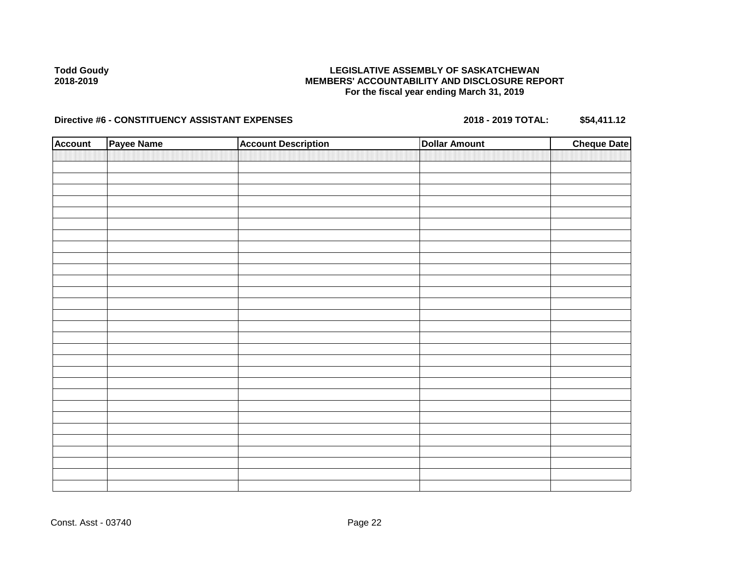### **LEGISLATIVE ASSEMBLY OF SASKATCHEWAN MEMBERS' ACCOUNTABILITY AND DISCLOSURE REPORT For the fiscal year ending March 31, 2019**

| <b>Account</b> | Payee Name | <b>Account Description</b> | <b>Dollar Amount</b> | <b>Cheque Date</b> |
|----------------|------------|----------------------------|----------------------|--------------------|
|                |            |                            |                      |                    |
|                |            |                            |                      |                    |
|                |            |                            |                      |                    |
|                |            |                            |                      |                    |
|                |            |                            |                      |                    |
|                |            |                            |                      |                    |
|                |            |                            |                      |                    |
|                |            |                            |                      |                    |
|                |            |                            |                      |                    |
|                |            |                            |                      |                    |
|                |            |                            |                      |                    |
|                |            |                            |                      |                    |
|                |            |                            |                      |                    |
|                |            |                            |                      |                    |
|                |            |                            |                      |                    |
|                |            |                            |                      |                    |
|                |            |                            |                      |                    |
|                |            |                            |                      |                    |
|                |            |                            |                      |                    |
|                |            |                            |                      |                    |
|                |            |                            |                      |                    |
|                |            |                            |                      |                    |
|                |            |                            |                      |                    |
|                |            |                            |                      |                    |
|                |            |                            |                      |                    |
|                |            |                            |                      |                    |
|                |            |                            |                      |                    |
|                |            |                            |                      |                    |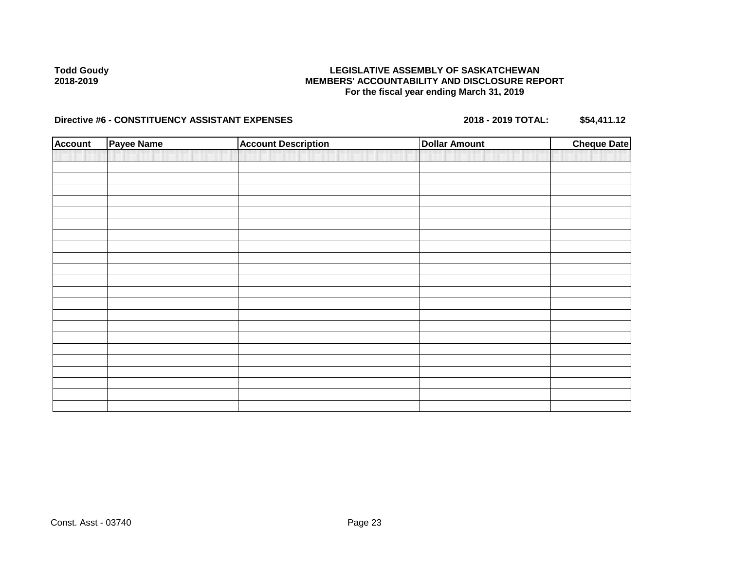### **LEGISLATIVE ASSEMBLY OF SASKATCHEWAN MEMBERS' ACCOUNTABILITY AND DISCLOSURE REPORT For the fiscal year ending March 31, 2019**

| <b>Account</b> | Payee Name | <b>Account Description</b> | <b>Dollar Amount</b> | <b>Cheque Date</b> |
|----------------|------------|----------------------------|----------------------|--------------------|
|                |            |                            |                      |                    |
|                |            |                            |                      |                    |
|                |            |                            |                      |                    |
|                |            |                            |                      |                    |
|                |            |                            |                      |                    |
|                |            |                            |                      |                    |
|                |            |                            |                      |                    |
|                |            |                            |                      |                    |
|                |            |                            |                      |                    |
|                |            |                            |                      |                    |
|                |            |                            |                      |                    |
|                |            |                            |                      |                    |
|                |            |                            |                      |                    |
|                |            |                            |                      |                    |
|                |            |                            |                      |                    |
|                |            |                            |                      |                    |
|                |            |                            |                      |                    |
|                |            |                            |                      |                    |
|                |            |                            |                      |                    |
|                |            |                            |                      |                    |
|                |            |                            |                      |                    |
|                |            |                            |                      |                    |